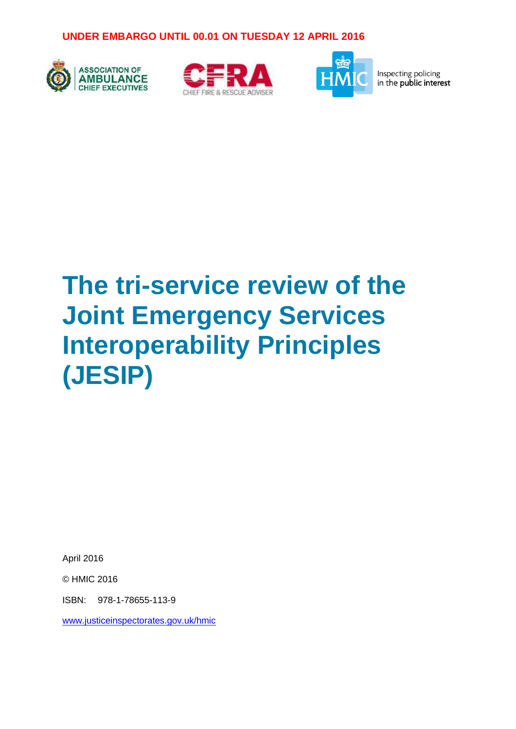





Inspecting policing in the public interest

# **The tri-service review of the Joint Emergency Services Interoperability Principles (JESIP)**

April 2016

© HMIC 2016

ISBN: 978-1-78655-113-9

[www.justiceinspectorates.gov.uk/hmic](http://www.justiceinspectorates.gov.uk/hmic)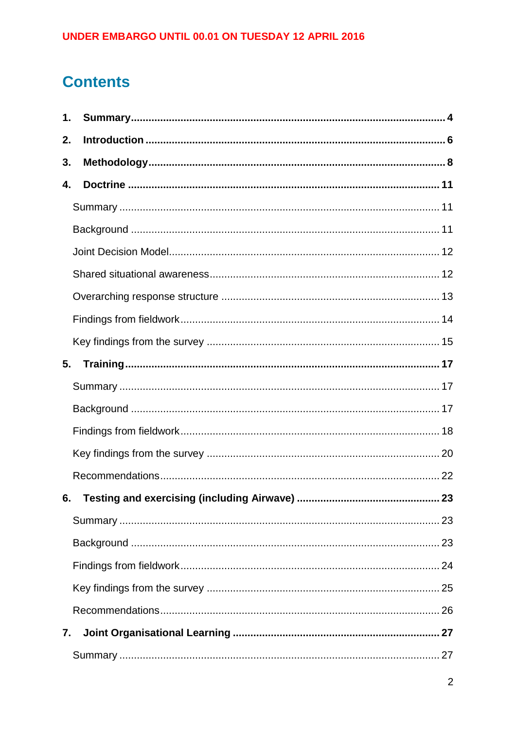# **Contents**

| 1. |  |
|----|--|
| 2. |  |
| 3. |  |
| 4. |  |
|    |  |
|    |  |
|    |  |
|    |  |
|    |  |
|    |  |
|    |  |
| 5. |  |
|    |  |
|    |  |
|    |  |
|    |  |
|    |  |
|    |  |
|    |  |
|    |  |
|    |  |
|    |  |
|    |  |
| 7. |  |
|    |  |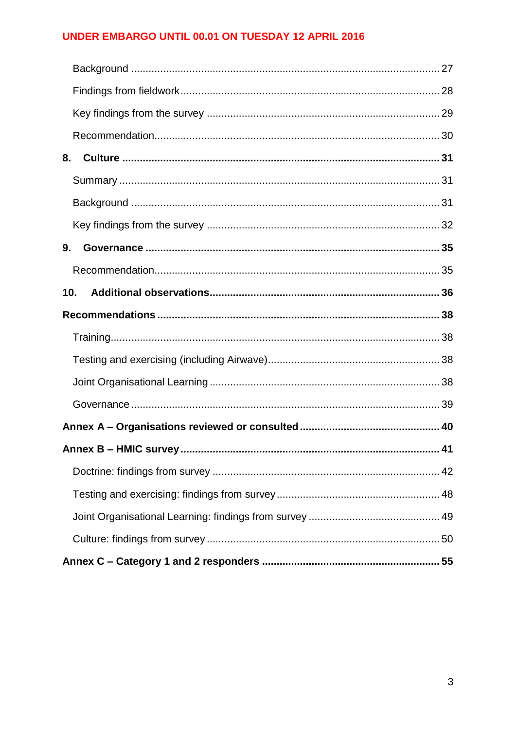| 8.  |    |  |  |
|-----|----|--|--|
|     |    |  |  |
|     |    |  |  |
|     |    |  |  |
| 9.  |    |  |  |
|     |    |  |  |
| 10. |    |  |  |
|     |    |  |  |
|     |    |  |  |
|     |    |  |  |
|     |    |  |  |
|     |    |  |  |
|     |    |  |  |
|     | 41 |  |  |
|     |    |  |  |
|     |    |  |  |
|     |    |  |  |
|     |    |  |  |
|     |    |  |  |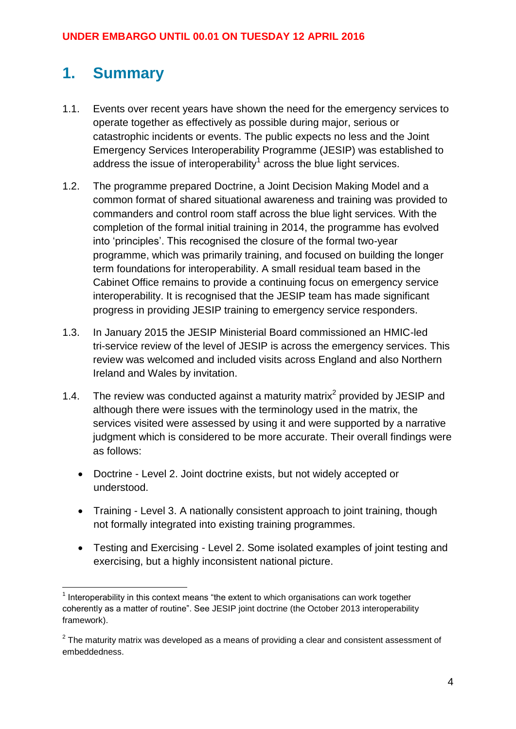# <span id="page-3-0"></span>**1. Summary**

- 1.1. Events over recent years have shown the need for the emergency services to operate together as effectively as possible during major, serious or catastrophic incidents or events. The public expects no less and the Joint Emergency Services Interoperability Programme (JESIP) was established to address the issue of interoperability<sup>1</sup> across the blue light services.
- 1.2. The programme prepared Doctrine, a Joint Decision Making Model and a common format of shared situational awareness and training was provided to commanders and control room staff across the blue light services. With the completion of the formal initial training in 2014, the programme has evolved into 'principles'. This recognised the closure of the formal two-year programme, which was primarily training, and focused on building the longer term foundations for interoperability. A small residual team based in the Cabinet Office remains to provide a continuing focus on emergency service interoperability. It is recognised that the JESIP team has made significant progress in providing JESIP training to emergency service responders.
- 1.3. In January 2015 the JESIP Ministerial Board commissioned an HMIC-led tri-service review of the level of JESIP is across the emergency services. This review was welcomed and included visits across England and also Northern Ireland and Wales by invitation.
- 1.4. The review was conducted against a maturity matrix<sup>2</sup> provided by JESIP and although there were issues with the terminology used in the matrix, the services visited were assessed by using it and were supported by a narrative judgment which is considered to be more accurate. Their overall findings were as follows:
	- Doctrine Level 2. Joint doctrine exists, but not widely accepted or understood.
	- Training Level 3. A nationally consistent approach to joint training, though not formally integrated into existing training programmes.
	- Testing and Exercising Level 2. Some isolated examples of joint testing and exercising, but a highly inconsistent national picture.

<sup>&</sup>lt;u>.</u>  $<sup>1</sup>$  Interoperability in this context means "the extent to which organisations can work together</sup> coherently as a matter of routine". See JESIP joint doctrine (the October 2013 interoperability framework).

 $2$  The maturity matrix was developed as a means of providing a clear and consistent assessment of embeddedness.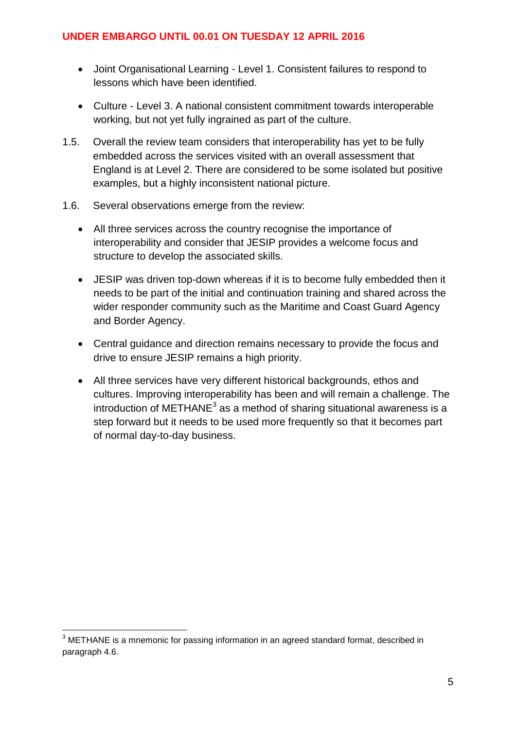- Joint Organisational Learning Level 1. Consistent failures to respond to lessons which have been identified.
- Culture Level 3. A national consistent commitment towards interoperable working, but not yet fully ingrained as part of the culture.
- 1.5. Overall the review team considers that interoperability has yet to be fully embedded across the services visited with an overall assessment that England is at Level 2. There are considered to be some isolated but positive examples, but a highly inconsistent national picture.
- 1.6. Several observations emerge from the review:
	- All three services across the country recognise the importance of interoperability and consider that JESIP provides a welcome focus and structure to develop the associated skills.
	- JESIP was driven top-down whereas if it is to become fully embedded then it needs to be part of the initial and continuation training and shared across the wider responder community such as the Maritime and Coast Guard Agency and Border Agency.
	- Central guidance and direction remains necessary to provide the focus and drive to ensure JESIP remains a high priority.
	- All three services have very different historical backgrounds, ethos and cultures. Improving interoperability has been and will remain a challenge. The introduction of METHANE<sup>3</sup> as a method of sharing situational awareness is a step forward but it needs to be used more frequently so that it becomes part of normal day-to-day business.

1

 $3$  METHANE is a mnemonic for passing information in an agreed standard format, described in paragraph 4.6.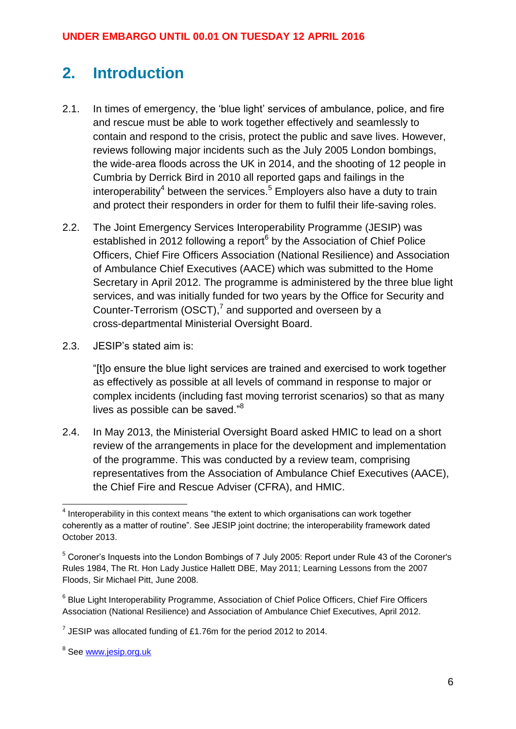# <span id="page-5-0"></span>**2. Introduction**

- 2.1. In times of emergency, the 'blue light' services of ambulance, police, and fire and rescue must be able to work together effectively and seamlessly to contain and respond to the crisis, protect the public and save lives. However, reviews following major incidents such as the July 2005 London bombings, the wide-area floods across the UK in 2014, and the shooting of 12 people in Cumbria by Derrick Bird in 2010 all reported gaps and failings in the interoperability<sup>4</sup> between the services.<sup>5</sup> Employers also have a duty to train and protect their responders in order for them to fulfil their life-saving roles.
- 2.2. The Joint Emergency Services Interoperability Programme (JESIP) was established in 2012 following a report<sup>6</sup> by the Association of Chief Police Officers, Chief Fire Officers Association (National Resilience) and Association of Ambulance Chief Executives (AACE) which was submitted to the Home Secretary in April 2012. The programme is administered by the three blue light services, and was initially funded for two years by the Office for Security and Counter-Terrorism (OSCT),<sup>7</sup> and supported and overseen by a cross-departmental Ministerial Oversight Board.
- 2.3. JESIP's stated aim is:

"[t]o ensure the blue light services are trained and exercised to work together as effectively as possible at all levels of command in response to major or complex incidents (including fast moving terrorist scenarios) so that as many lives as possible can be saved."<sup>8</sup>

2.4. In May 2013, the Ministerial Oversight Board asked HMIC to lead on a short review of the arrangements in place for the development and implementation of the programme. This was conducted by a review team, comprising representatives from the Association of Ambulance Chief Executives (AACE), the Chief Fire and Rescue Adviser (CFRA), and HMIC.

 4 Interoperability in this context means "the extent to which organisations can work together coherently as a matter of routine". See JESIP joint doctrine; the interoperability framework dated October 2013.

<sup>5</sup> Coroner's Inquests into the London Bombings of 7 July 2005: Report under Rule 43 of the Coroner's Rules 1984, The Rt. Hon Lady Justice Hallett DBE, May 2011; Learning Lessons from the 2007 Floods, Sir Michael Pitt, June 2008.

<sup>&</sup>lt;sup>6</sup> Blue Light Interoperability Programme, Association of Chief Police Officers, Chief Fire Officers Association (National Resilience) and Association of Ambulance Chief Executives, April 2012.

 $^7$  JESIP was allocated funding of £1.76m for the period 2012 to 2014.

<sup>&</sup>lt;sup>8</sup> See <u>www.jesip.org.uk</u>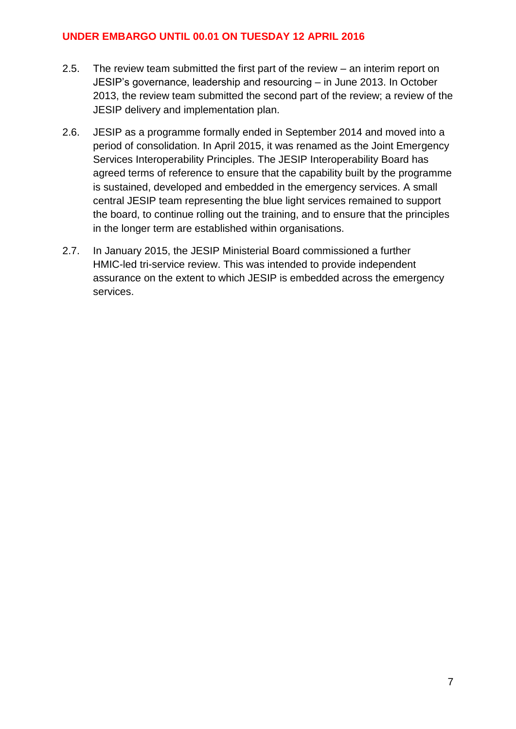- 2.5. The review team submitted the first part of the review an interim report on JESIP's governance, leadership and resourcing – in June 2013. In October 2013, the review team submitted the second part of the review; a review of the JESIP delivery and implementation plan.
- 2.6. JESIP as a programme formally ended in September 2014 and moved into a period of consolidation. In April 2015, it was renamed as the Joint Emergency Services Interoperability Principles. The JESIP Interoperability Board has agreed terms of reference to ensure that the capability built by the programme is sustained, developed and embedded in the emergency services. A small central JESIP team representing the blue light services remained to support the board, to continue rolling out the training, and to ensure that the principles in the longer term are established within organisations.
- 2.7. In January 2015, the JESIP Ministerial Board commissioned a further HMIC-led tri-service review. This was intended to provide independent assurance on the extent to which JESIP is embedded across the emergency services.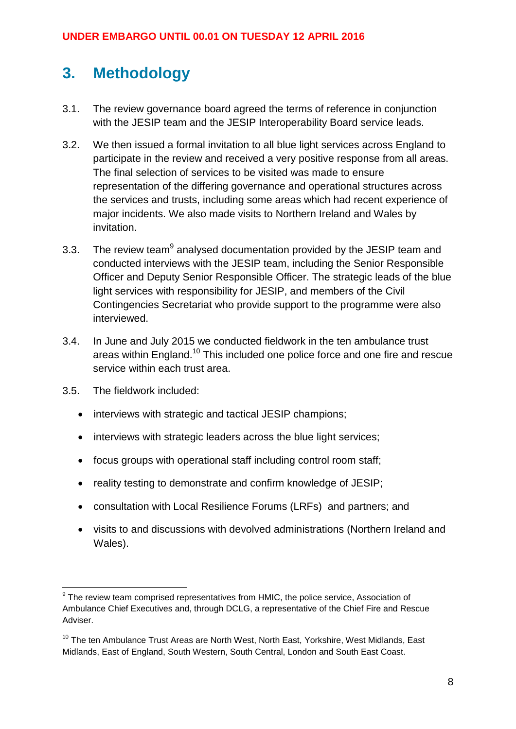# <span id="page-7-0"></span>**3. Methodology**

- 3.1. The review governance board agreed the terms of reference in conjunction with the JESIP team and the JESIP Interoperability Board service leads.
- 3.2. We then issued a formal invitation to all blue light services across England to participate in the review and received a very positive response from all areas. The final selection of services to be visited was made to ensure representation of the differing governance and operational structures across the services and trusts, including some areas which had recent experience of major incidents. We also made visits to Northern Ireland and Wales by invitation.
- 3.3. The review team $9$  analysed documentation provided by the JESIP team and conducted interviews with the JESIP team, including the Senior Responsible Officer and Deputy Senior Responsible Officer. The strategic leads of the blue light services with responsibility for JESIP, and members of the Civil Contingencies Secretariat who provide support to the programme were also interviewed.
- 3.4. In June and July 2015 we conducted fieldwork in the ten ambulance trust areas within England.<sup>10</sup> This included one police force and one fire and rescue service within each trust area.
- 3.5. The fieldwork included:
	- interviews with strategic and tactical JESIP champions;
	- interviews with strategic leaders across the blue light services;
	- focus groups with operational staff including control room staff:
	- reality testing to demonstrate and confirm knowledge of JESIP;
	- consultation with Local Resilience Forums (LRFs) and partners; and
	- visits to and discussions with devolved administrations (Northern Ireland and Wales).

<sup>&</sup>lt;u>.</u>  $9$  The review team comprised representatives from HMIC, the police service, Association of Ambulance Chief Executives and, through DCLG, a representative of the Chief Fire and Rescue Adviser.

 $10$  The ten Ambulance Trust Areas are North West, North East, Yorkshire, West Midlands, East Midlands, East of England, South Western, South Central, London and South East Coast.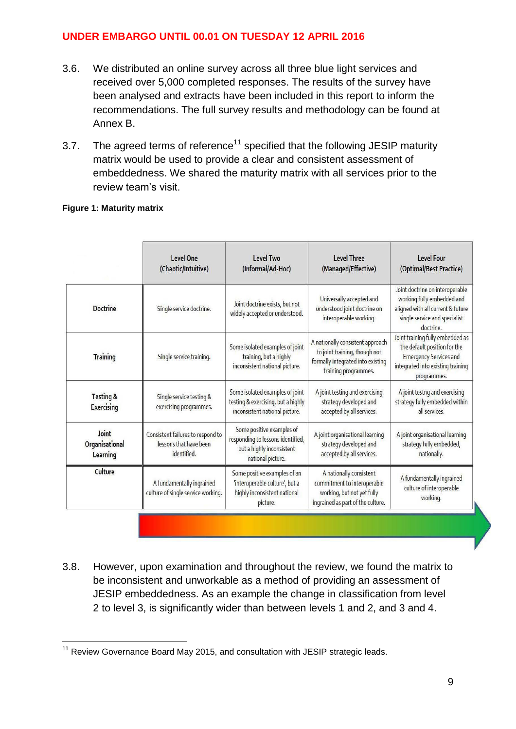- 3.6. We distributed an online survey across all three blue light services and received over 5,000 completed responses. The results of the survey have been analysed and extracts have been included in this report to inform the recommendations. The full survey results and methodology can be found at Annex B.
- 3.7. The agreed terms of reference<sup>11</sup> specified that the following JESIP maturity matrix would be used to provide a clear and consistent assessment of embeddedness. We shared the maturity matrix with all services prior to the review team's visit.

#### **Figure 1: Maturity matrix**

|                                           | Level One<br>(Chaotic/Intuitive)                                           | Level Two<br>(Informal/Ad-Hoc)                                                                                   | Level Three<br>(Managed/Effective)                                                                                             | Level Four<br>(Optimal/Best Practice)                                                                                                                 |
|-------------------------------------------|----------------------------------------------------------------------------|------------------------------------------------------------------------------------------------------------------|--------------------------------------------------------------------------------------------------------------------------------|-------------------------------------------------------------------------------------------------------------------------------------------------------|
| <b>Doctrine</b>                           | Single service doctrine.                                                   | Joint doctrine exists, but not<br>widely accepted or understood.                                                 | Universally accepted and<br>understood joint doctrine on<br>interoperable working.                                             | Joint doctrine on interoperable<br>working fully embedded and<br>aligned with all current & future<br>single service and specialist<br>doctrine.      |
| <b>Training</b>                           | Single service training.                                                   | Some isolated examples of joint<br>training, but a highly<br>inconsistent national picture.                      | A nationally consistent approach<br>to joint training, though not<br>formally integrated into existing<br>training programmes. | Joint training fully embedded as<br>the default position for the<br><b>Emergency Services and</b><br>integrated into existing training<br>programmes. |
| <b>Testing &amp;</b><br><b>Exercising</b> | Single service testing &<br>exercising programmes.                         | Some isolated examples of joint<br>testing & exercising, but a highly<br>inconsistent national picture.          | A joint testing and exercising<br>strategy developed and<br>accepted by all services.                                          | A joint testng and exercising<br>strategy fully embedded within<br>all services.                                                                      |
| Joint<br>Organisational<br>Learning       | Consistent failures to respond to<br>lessons that have been<br>identified. | Some positive examples of<br>responding to lessons identified,<br>but a highly inconsistent<br>national picture. | A joint organisational learning<br>strategy developed and<br>accepted by all services.                                         | A joint organisational learning<br>strategy fully embedded,<br>nationally.                                                                            |
| Culture                                   | A fundamentally ingrained<br>culture of single service working.            | Some positive examples of an<br>'interoperable culture', but a<br>highly inconsistent national<br>picture.       | A nationally consistent<br>commitment to interoperable<br>working, but not yet fully<br>ingrained as part of the culture.      | A fundamentally ingrained<br>culture of interoperable<br>working.                                                                                     |

3.8. However, upon examination and throughout the review, we found the matrix to be inconsistent and unworkable as a method of providing an assessment of JESIP embeddedness. As an example the change in classification from level 2 to level 3, is significantly wider than between levels 1 and 2, and 3 and 4.

<sup>1</sup>  $11$  Review Governance Board May 2015, and consultation with JESIP strategic leads.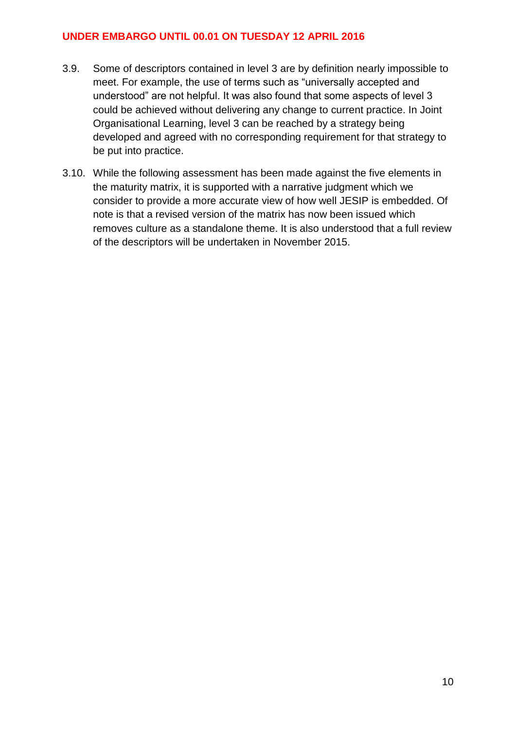- 3.9. Some of descriptors contained in level 3 are by definition nearly impossible to meet. For example, the use of terms such as "universally accepted and understood" are not helpful. It was also found that some aspects of level 3 could be achieved without delivering any change to current practice. In Joint Organisational Learning, level 3 can be reached by a strategy being developed and agreed with no corresponding requirement for that strategy to be put into practice.
- 3.10. While the following assessment has been made against the five elements in the maturity matrix, it is supported with a narrative judgment which we consider to provide a more accurate view of how well JESIP is embedded. Of note is that a revised version of the matrix has now been issued which removes culture as a standalone theme. It is also understood that a full review of the descriptors will be undertaken in November 2015.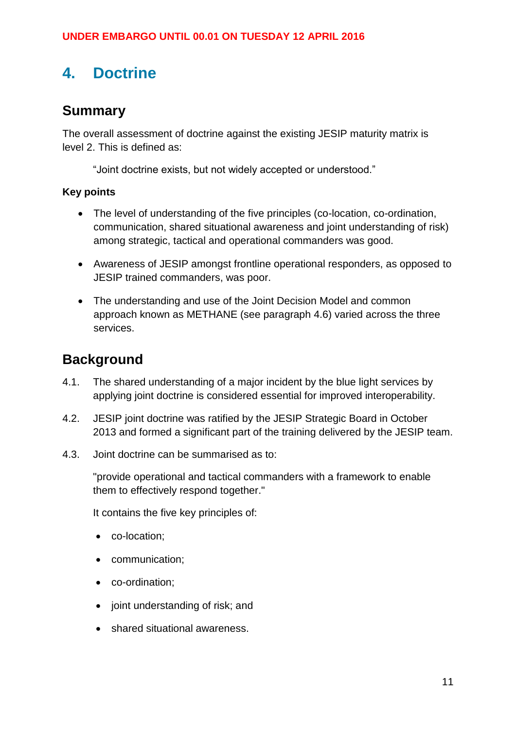# <span id="page-10-0"></span>**4. Doctrine**

### <span id="page-10-1"></span>**Summary**

The overall assessment of doctrine against the existing JESIP maturity matrix is level 2. This is defined as:

"Joint doctrine exists, but not widely accepted or understood."

### **Key points**

- The level of understanding of the five principles (co-location, co-ordination, communication, shared situational awareness and joint understanding of risk) among strategic, tactical and operational commanders was good.
- Awareness of JESIP amongst frontline operational responders, as opposed to JESIP trained commanders, was poor.
- The understanding and use of the Joint Decision Model and common approach known as METHANE (see paragraph 4.6) varied across the three services.

### <span id="page-10-2"></span>**Background**

- 4.1. The shared understanding of a major incident by the blue light services by applying joint doctrine is considered essential for improved interoperability.
- 4.2. JESIP joint doctrine was ratified by the JESIP Strategic Board in October 2013 and formed a significant part of the training delivered by the JESIP team.
- 4.3. Joint doctrine can be summarised as to:

"provide operational and tactical commanders with a framework to enable them to effectively respond together."

It contains the five key principles of:

- co-location:
- communication;
- co-ordination;
- joint understanding of risk; and
- shared situational awareness.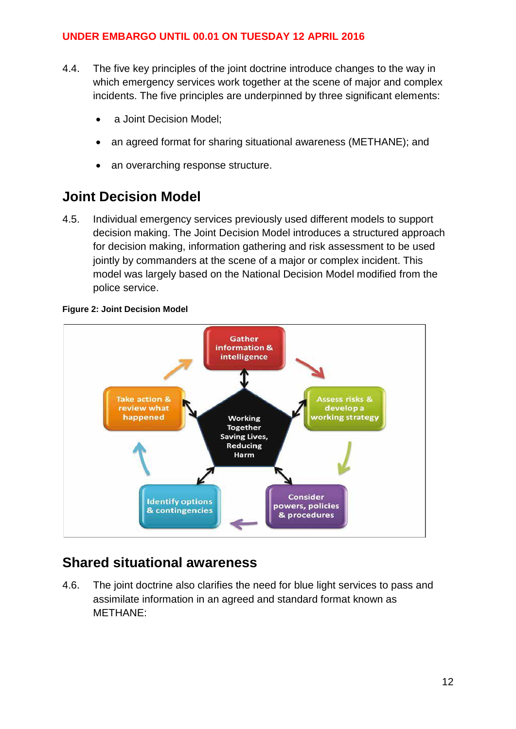- 4.4. The five key principles of the joint doctrine introduce changes to the way in which emergency services work together at the scene of major and complex incidents. The five principles are underpinned by three significant elements:
	- a Joint Decision Model;
	- an agreed format for sharing situational awareness (METHANE); and
	- an overarching response structure.

### <span id="page-11-0"></span>**Joint Decision Model**

4.5. Individual emergency services previously used different models to support decision making. The Joint Decision Model introduces a structured approach for decision making, information gathering and risk assessment to be used jointly by commanders at the scene of a major or complex incident. This model was largely based on the National Decision Model modified from the police service.

#### **Figure 2: Joint Decision Model**



### <span id="page-11-1"></span>**Shared situational awareness**

4.6. The joint doctrine also clarifies the need for blue light services to pass and assimilate information in an agreed and standard format known as METHANE: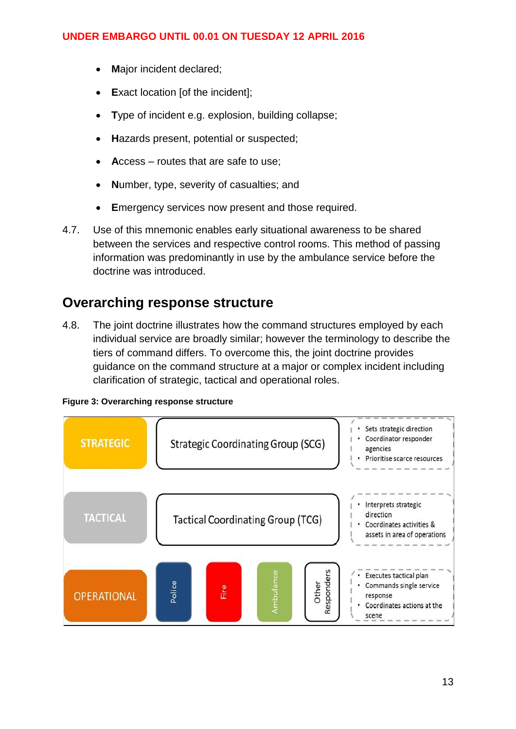- **M**ajor incident declared;
- **Exact location [of the incident];**
- **T**ype of incident e.g. explosion, building collapse;
- **H**azards present, potential or suspected;
- **A**ccess routes that are safe to use;
- **N**umber, type, severity of casualties; and
- **E**mergency services now present and those required.
- 4.7. Use of this mnemonic enables early situational awareness to be shared between the services and respective control rooms. This method of passing information was predominantly in use by the ambulance service before the doctrine was introduced.

### <span id="page-12-0"></span>**Overarching response structure**

4.8. The joint doctrine illustrates how the command structures employed by each individual service are broadly similar; however the terminology to describe the tiers of command differs. To overcome this, the joint doctrine provides guidance on the command structure at a major or complex incident including clarification of strategic, tactical and operational roles.



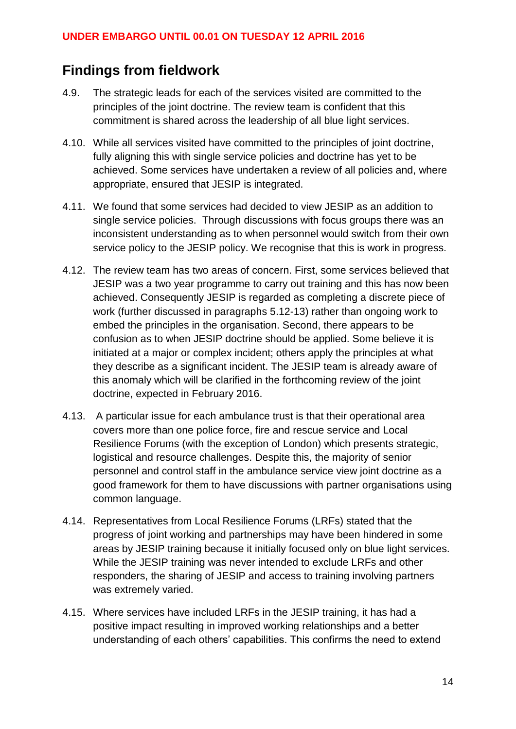### <span id="page-13-0"></span>**Findings from fieldwork**

- 4.9. The strategic leads for each of the services visited are committed to the principles of the joint doctrine. The review team is confident that this commitment is shared across the leadership of all blue light services.
- 4.10. While all services visited have committed to the principles of joint doctrine, fully aligning this with single service policies and doctrine has yet to be achieved. Some services have undertaken a review of all policies and, where appropriate, ensured that JESIP is integrated.
- 4.11. We found that some services had decided to view JESIP as an addition to single service policies. Through discussions with focus groups there was an inconsistent understanding as to when personnel would switch from their own service policy to the JESIP policy. We recognise that this is work in progress.
- 4.12. The review team has two areas of concern. First, some services believed that JESIP was a two year programme to carry out training and this has now been achieved. Consequently JESIP is regarded as completing a discrete piece of work (further discussed in paragraphs 5.12-13) rather than ongoing work to embed the principles in the organisation. Second, there appears to be confusion as to when JESIP doctrine should be applied. Some believe it is initiated at a major or complex incident; others apply the principles at what they describe as a significant incident. The JESIP team is already aware of this anomaly which will be clarified in the forthcoming review of the joint doctrine, expected in February 2016.
- 4.13. A particular issue for each ambulance trust is that their operational area covers more than one police force, fire and rescue service and Local Resilience Forums (with the exception of London) which presents strategic, logistical and resource challenges. Despite this, the majority of senior personnel and control staff in the ambulance service view joint doctrine as a good framework for them to have discussions with partner organisations using common language.
- 4.14. Representatives from Local Resilience Forums (LRFs) stated that the progress of joint working and partnerships may have been hindered in some areas by JESIP training because it initially focused only on blue light services. While the JESIP training was never intended to exclude LRFs and other responders, the sharing of JESIP and access to training involving partners was extremely varied.
- 4.15. Where services have included LRFs in the JESIP training, it has had a positive impact resulting in improved working relationships and a better understanding of each others' capabilities. This confirms the need to extend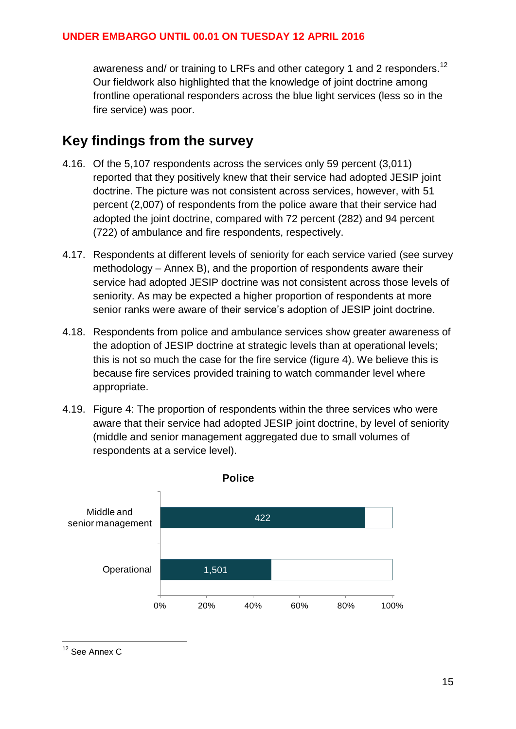awareness and/ or training to LRFs and other category 1 and 2 responders.<sup>12</sup> Our fieldwork also highlighted that the knowledge of joint doctrine among frontline operational responders across the blue light services (less so in the fire service) was poor.

### <span id="page-14-0"></span>**Key findings from the survey**

- 4.16. Of the 5,107 respondents across the services only 59 percent (3,011) reported that they positively knew that their service had adopted JESIP joint doctrine. The picture was not consistent across services, however, with 51 percent (2,007) of respondents from the police aware that their service had adopted the joint doctrine, compared with 72 percent (282) and 94 percent (722) of ambulance and fire respondents, respectively.
- 4.17. Respondents at different levels of seniority for each service varied (see survey methodology – Annex B), and the proportion of respondents aware their service had adopted JESIP doctrine was not consistent across those levels of seniority. As may be expected a higher proportion of respondents at more senior ranks were aware of their service's adoption of JESIP joint doctrine.
- 4.18. Respondents from police and ambulance services show greater awareness of the adoption of JESIP doctrine at strategic levels than at operational levels; this is not so much the case for the fire service (figure 4). We believe this is because fire services provided training to watch commander level where appropriate.
- 4.19. Figure 4: The proportion of respondents within the three services who were aware that their service had adopted JESIP joint doctrine, by level of seniority (middle and senior management aggregated due to small volumes of respondents at a service level).



<sup>12</sup> See Annex C

1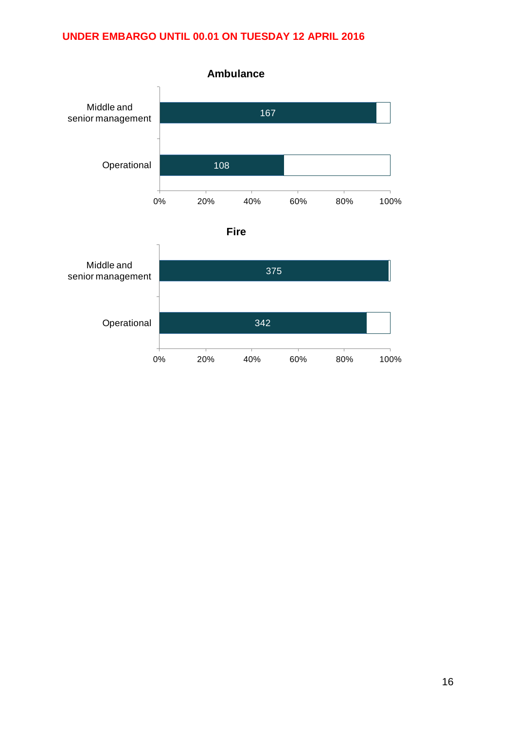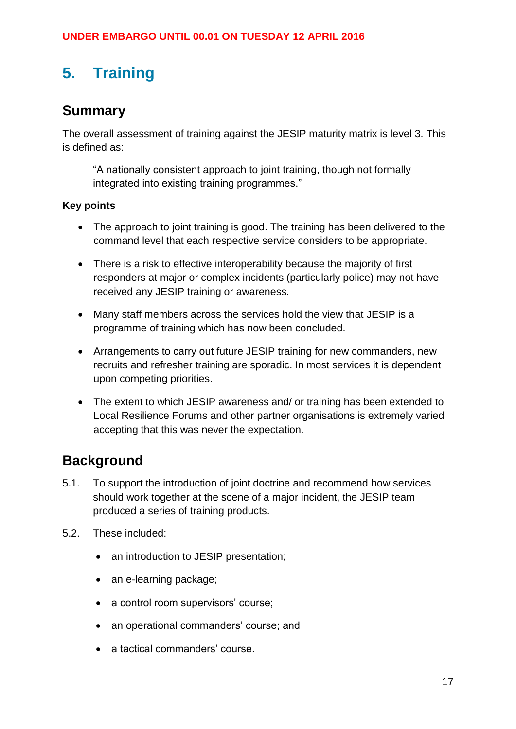# <span id="page-16-0"></span>**5. Training**

### <span id="page-16-1"></span>**Summary**

The overall assessment of training against the JESIP maturity matrix is level 3. This is defined as:

"A nationally consistent approach to joint training, though not formally integrated into existing training programmes."

### **Key points**

- The approach to joint training is good. The training has been delivered to the command level that each respective service considers to be appropriate.
- There is a risk to effective interoperability because the majority of first responders at major or complex incidents (particularly police) may not have received any JESIP training or awareness.
- Many staff members across the services hold the view that JESIP is a programme of training which has now been concluded.
- Arrangements to carry out future JESIP training for new commanders, new recruits and refresher training are sporadic. In most services it is dependent upon competing priorities.
- The extent to which JESIP awareness and/ or training has been extended to Local Resilience Forums and other partner organisations is extremely varied accepting that this was never the expectation.

### <span id="page-16-2"></span>**Background**

- 5.1. To support the introduction of joint doctrine and recommend how services should work together at the scene of a major incident, the JESIP team produced a series of training products.
- 5.2. These included:
	- an introduction to JESIP presentation;
	- an e-learning package;
	- a control room supervisors' course;
	- an operational commanders' course; and
	- a tactical commanders' course.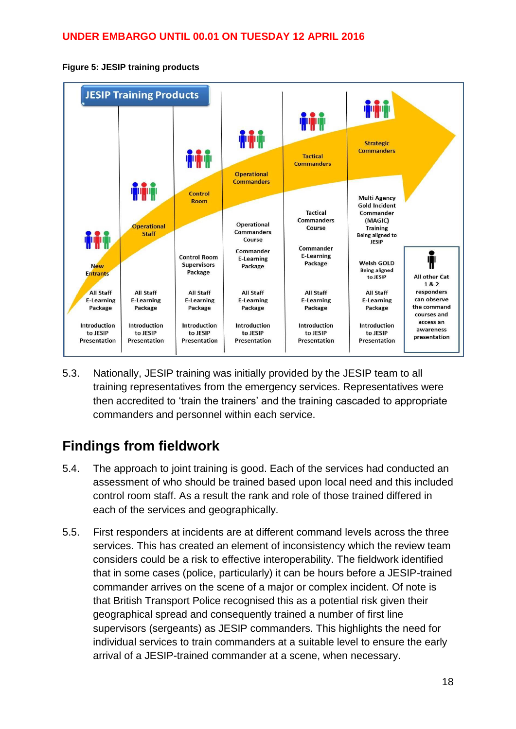



5.3. Nationally, JESIP training was initially provided by the JESIP team to all training representatives from the emergency services. Representatives were then accredited to 'train the trainers' and the training cascaded to appropriate commanders and personnel within each service.

# <span id="page-17-0"></span>**Findings from fieldwork**

- 5.4. The approach to joint training is good. Each of the services had conducted an assessment of who should be trained based upon local need and this included control room staff. As a result the rank and role of those trained differed in each of the services and geographically.
- 5.5. First responders at incidents are at different command levels across the three services. This has created an element of inconsistency which the review team considers could be a risk to effective interoperability. The fieldwork identified that in some cases (police, particularly) it can be hours before a JESIP-trained commander arrives on the scene of a major or complex incident. Of note is that British Transport Police recognised this as a potential risk given their geographical spread and consequently trained a number of first line supervisors (sergeants) as JESIP commanders. This highlights the need for individual services to train commanders at a suitable level to ensure the early arrival of a JESIP-trained commander at a scene, when necessary.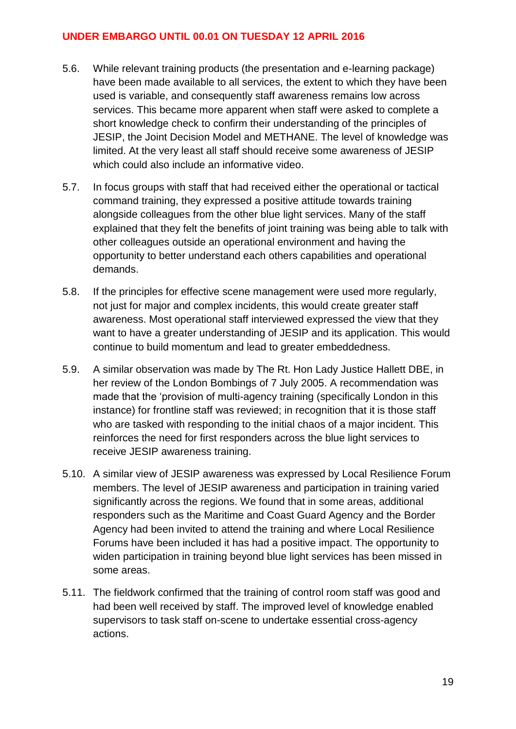- 5.6. While relevant training products (the presentation and e-learning package) have been made available to all services, the extent to which they have been used is variable, and consequently staff awareness remains low across services. This became more apparent when staff were asked to complete a short knowledge check to confirm their understanding of the principles of JESIP, the Joint Decision Model and METHANE. The level of knowledge was limited. At the very least all staff should receive some awareness of JESIP which could also include an informative video.
- 5.7. In focus groups with staff that had received either the operational or tactical command training, they expressed a positive attitude towards training alongside colleagues from the other blue light services. Many of the staff explained that they felt the benefits of joint training was being able to talk with other colleagues outside an operational environment and having the opportunity to better understand each others capabilities and operational demands.
- 5.8. If the principles for effective scene management were used more regularly, not just for major and complex incidents, this would create greater staff awareness. Most operational staff interviewed expressed the view that they want to have a greater understanding of JESIP and its application. This would continue to build momentum and lead to greater embeddedness.
- 5.9. A similar observation was made by The Rt. Hon Lady Justice Hallett DBE, in her review of the London Bombings of 7 July 2005. A recommendation was made that the 'provision of multi-agency training (specifically London in this instance) for frontline staff was reviewed; in recognition that it is those staff who are tasked with responding to the initial chaos of a major incident. This reinforces the need for first responders across the blue light services to receive JESIP awareness training.
- 5.10. A similar view of JESIP awareness was expressed by Local Resilience Forum members. The level of JESIP awareness and participation in training varied significantly across the regions. We found that in some areas, additional responders such as the Maritime and Coast Guard Agency and the Border Agency had been invited to attend the training and where Local Resilience Forums have been included it has had a positive impact. The opportunity to widen participation in training beyond blue light services has been missed in some areas.
- 5.11. The fieldwork confirmed that the training of control room staff was good and had been well received by staff. The improved level of knowledge enabled supervisors to task staff on-scene to undertake essential cross-agency actions.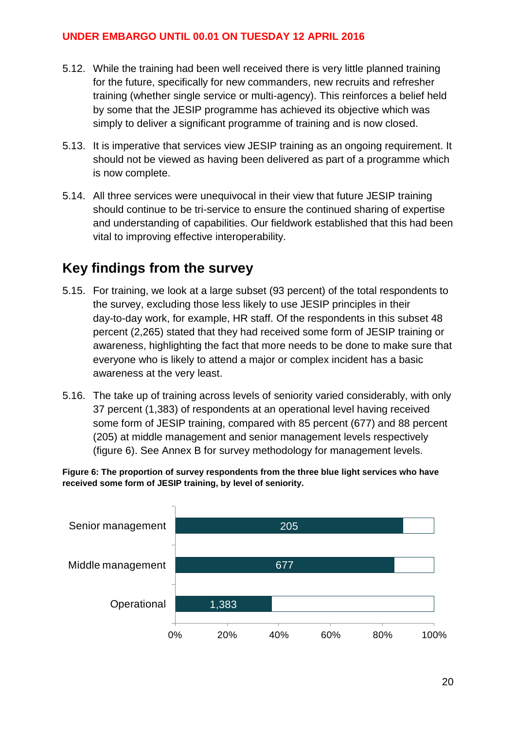- 5.12. While the training had been well received there is very little planned training for the future, specifically for new commanders, new recruits and refresher training (whether single service or multi-agency). This reinforces a belief held by some that the JESIP programme has achieved its objective which was simply to deliver a significant programme of training and is now closed.
- 5.13. It is imperative that services view JESIP training as an ongoing requirement. It should not be viewed as having been delivered as part of a programme which is now complete.
- 5.14. All three services were unequivocal in their view that future JESIP training should continue to be tri-service to ensure the continued sharing of expertise and understanding of capabilities. Our fieldwork established that this had been vital to improving effective interoperability.

### <span id="page-19-0"></span>**Key findings from the survey**

- 5.15. For training, we look at a large subset (93 percent) of the total respondents to the survey, excluding those less likely to use JESIP principles in their day-to-day work, for example, HR staff. Of the respondents in this subset 48 percent (2,265) stated that they had received some form of JESIP training or awareness, highlighting the fact that more needs to be done to make sure that everyone who is likely to attend a major or complex incident has a basic awareness at the very least.
- 5.16. The take up of training across levels of seniority varied considerably, with only 37 percent (1,383) of respondents at an operational level having received some form of JESIP training, compared with 85 percent (677) and 88 percent (205) at middle management and senior management levels respectively (figure 6). See Annex B for survey methodology for management levels.

**Figure 6: The proportion of survey respondents from the three blue light services who have received some form of JESIP training, by level of seniority.**

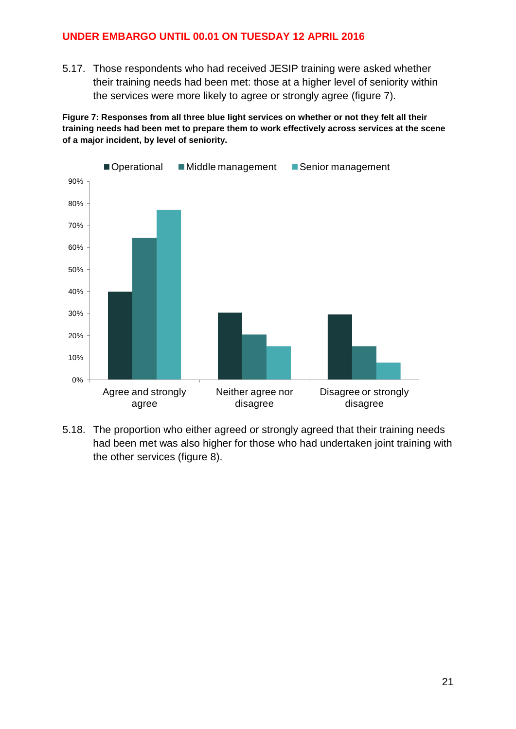5.17. Those respondents who had received JESIP training were asked whether their training needs had been met: those at a higher level of seniority within the services were more likely to agree or strongly agree (figure 7).

**Figure 7: Responses from all three blue light services on whether or not they felt all their training needs had been met to prepare them to work effectively across services at the scene of a major incident, by level of seniority.**



5.18. The proportion who either agreed or strongly agreed that their training needs had been met was also higher for those who had undertaken joint training with the other services (figure 8).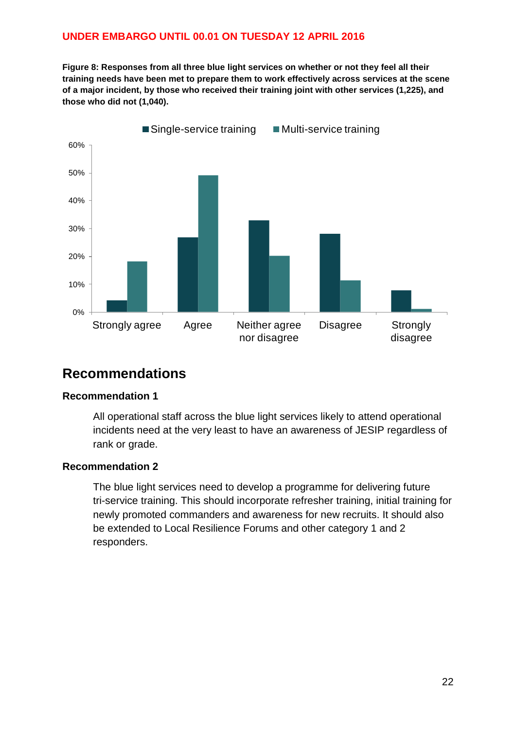Figure 8: Responses from all three blue light services on whether or not they feel all their **training needs have been met to prepare them to work effectively across services at the scene of a major incident, by those who received their training joint with other services (1,225), and those who did not (1,040).**



### <span id="page-21-0"></span>**Recommendations**

#### **Recommendation 1**

All operational staff across the blue light services likely to attend operational incidents need at the very least to have an awareness of JESIP regardless of rank or grade.

#### **Recommendation 2**

The blue light services need to develop a programme for delivering future tri-service training. This should incorporate refresher training, initial training for newly promoted commanders and awareness for new recruits. It should also be extended to Local Resilience Forums and other category 1 and 2 responders.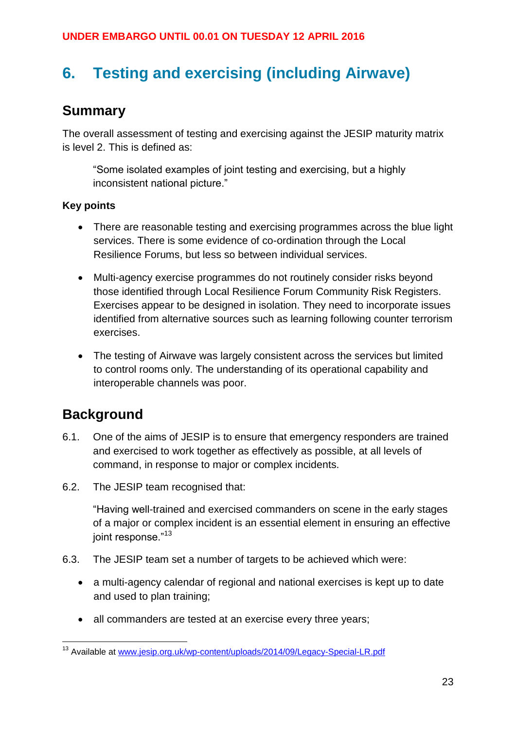# <span id="page-22-0"></span>**6. Testing and exercising (including Airwave)**

### <span id="page-22-1"></span>**Summary**

The overall assessment of testing and exercising against the JESIP maturity matrix is level 2. This is defined as:

"Some isolated examples of joint testing and exercising, but a highly inconsistent national picture."

#### **Key points**

- There are reasonable testing and exercising programmes across the blue light services. There is some evidence of co-ordination through the Local Resilience Forums, but less so between individual services.
- Multi-agency exercise programmes do not routinely consider risks beyond those identified through Local Resilience Forum Community Risk Registers. Exercises appear to be designed in isolation. They need to incorporate issues identified from alternative sources such as learning following counter terrorism exercises.
- The testing of Airwave was largely consistent across the services but limited to control rooms only. The understanding of its operational capability and interoperable channels was poor.

### <span id="page-22-2"></span>**Background**

- 6.1. One of the aims of JESIP is to ensure that emergency responders are trained and exercised to work together as effectively as possible, at all levels of command, in response to major or complex incidents.
- 6.2. The JESIP team recognised that:

"Having well-trained and exercised commanders on scene in the early stages of a major or complex incident is an essential element in ensuring an effective joint response."<sup>13</sup>

- 6.3. The JESIP team set a number of targets to be achieved which were:
	- a multi-agency calendar of regional and national exercises is kept up to date and used to plan training;
	- all commanders are tested at an exercise every three years;

<sup>1</sup> <sup>13</sup> Available at [www.jesip.org.uk/wp-content/uploads/2014/09/Legacy-Special-LR.pdf](http://www.jesip.org.uk/wp-content/uploads/2014/09/Legacy-Special-LR.pdf)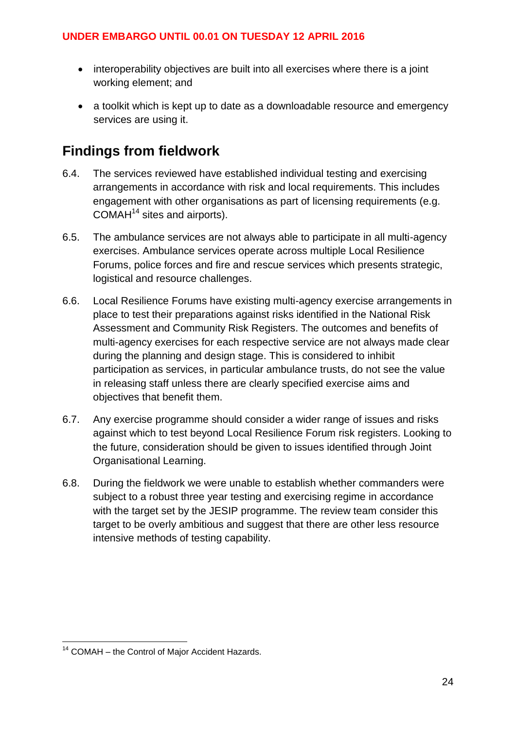- interoperability objectives are built into all exercises where there is a joint working element; and
- a toolkit which is kept up to date as a downloadable resource and emergency services are using it.

### <span id="page-23-0"></span>**Findings from fieldwork**

- 6.4. The services reviewed have established individual testing and exercising arrangements in accordance with risk and local requirements. This includes engagement with other organisations as part of licensing requirements (e.g.  $COMAH<sup>14</sup>$  sites and airports).
- 6.5. The ambulance services are not always able to participate in all multi-agency exercises. Ambulance services operate across multiple Local Resilience Forums, police forces and fire and rescue services which presents strategic, logistical and resource challenges.
- 6.6. Local Resilience Forums have existing multi-agency exercise arrangements in place to test their preparations against risks identified in the National Risk Assessment and Community Risk Registers. The outcomes and benefits of multi-agency exercises for each respective service are not always made clear during the planning and design stage. This is considered to inhibit participation as services, in particular ambulance trusts, do not see the value in releasing staff unless there are clearly specified exercise aims and objectives that benefit them.
- 6.7. Any exercise programme should consider a wider range of issues and risks against which to test beyond Local Resilience Forum risk registers. Looking to the future, consideration should be given to issues identified through Joint Organisational Learning.
- 6.8. During the fieldwork we were unable to establish whether commanders were subject to a robust three year testing and exercising regime in accordance with the target set by the JESIP programme. The review team consider this target to be overly ambitious and suggest that there are other less resource intensive methods of testing capability.

1

<sup>&</sup>lt;sup>14</sup> COMAH – the Control of Major Accident Hazards.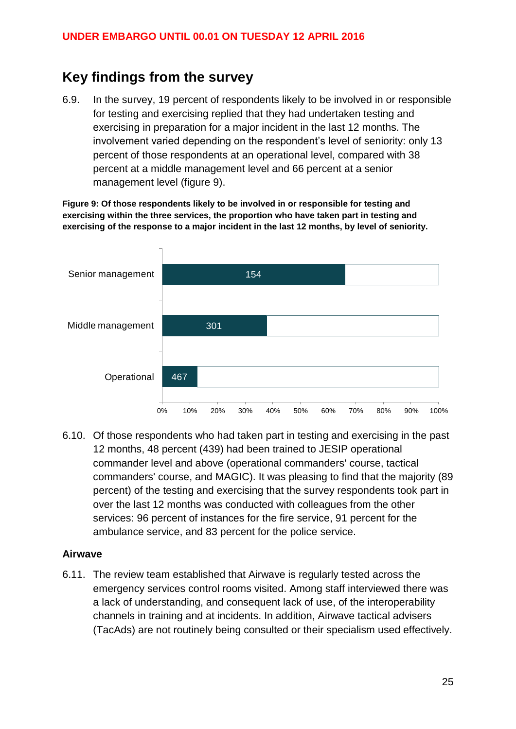### <span id="page-24-0"></span>**Key findings from the survey**

6.9. In the survey, 19 percent of respondents likely to be involved in or responsible for testing and exercising replied that they had undertaken testing and exercising in preparation for a major incident in the last 12 months. The involvement varied depending on the respondent's level of seniority: only 13 percent of those respondents at an operational level, compared with 38 percent at a middle management level and 66 percent at a senior management level (figure 9).

**Figure 9: Of those respondents likely to be involved in or responsible for testing and exercising within the three services, the proportion who have taken part in testing and exercising of the response to a major incident in the last 12 months, by level of seniority.**



6.10. Of those respondents who had taken part in testing and exercising in the past 12 months, 48 percent (439) had been trained to JESIP operational commander level and above (operational commanders' course, tactical commanders' course, and MAGIC). It was pleasing to find that the majority (89 percent) of the testing and exercising that the survey respondents took part in over the last 12 months was conducted with colleagues from the other services: 96 percent of instances for the fire service, 91 percent for the ambulance service, and 83 percent for the police service.

#### **Airwave**

6.11. The review team established that Airwave is regularly tested across the emergency services control rooms visited. Among staff interviewed there was a lack of understanding, and consequent lack of use, of the interoperability channels in training and at incidents. In addition, Airwave tactical advisers (TacAds) are not routinely being consulted or their specialism used effectively.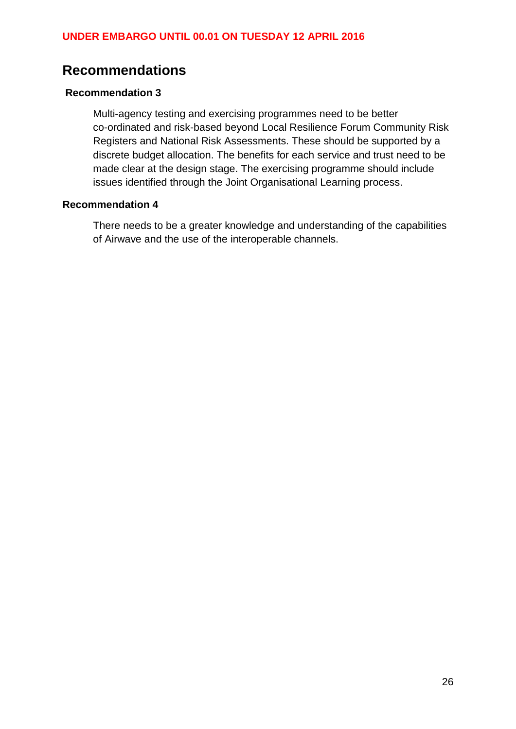### <span id="page-25-0"></span>**Recommendations**

#### **Recommendation 3**

Multi-agency testing and exercising programmes need to be better co-ordinated and risk-based beyond Local Resilience Forum Community Risk Registers and National Risk Assessments. These should be supported by a discrete budget allocation. The benefits for each service and trust need to be made clear at the design stage. The exercising programme should include issues identified through the Joint Organisational Learning process.

#### **Recommendation 4**

There needs to be a greater knowledge and understanding of the capabilities of Airwave and the use of the interoperable channels.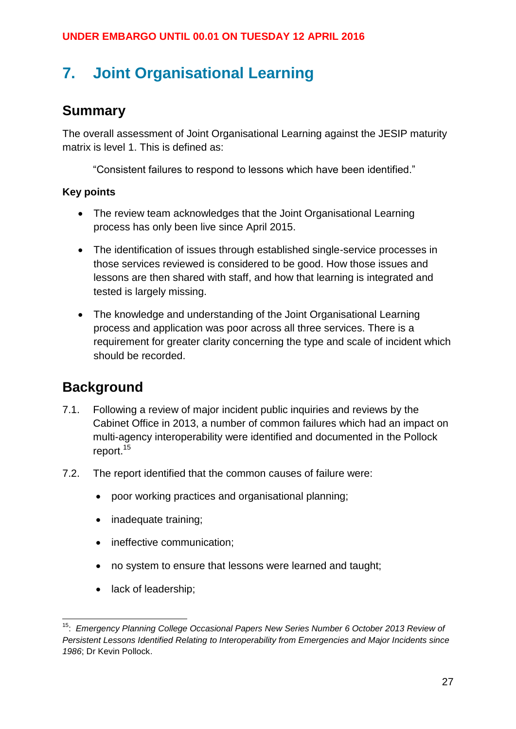# <span id="page-26-0"></span>**7. Joint Organisational Learning**

### <span id="page-26-1"></span>**Summary**

The overall assessment of Joint Organisational Learning against the JESIP maturity matrix is level 1. This is defined as:

"Consistent failures to respond to lessons which have been identified."

### **Key points**

- The review team acknowledges that the Joint Organisational Learning process has only been live since April 2015.
- The identification of issues through established single-service processes in those services reviewed is considered to be good. How those issues and lessons are then shared with staff, and how that learning is integrated and tested is largely missing.
- The knowledge and understanding of the Joint Organisational Learning process and application was poor across all three services. There is a requirement for greater clarity concerning the type and scale of incident which should be recorded.

### <span id="page-26-2"></span>**Background**

- 7.1. Following a review of major incident public inquiries and reviews by the Cabinet Office in 2013, a number of common failures which had an impact on multi-agency interoperability were identified and documented in the Pollock report.<sup>15</sup>
- 7.2. The report identified that the common causes of failure were:
	- poor working practices and organisational planning;
	- inadequate training;
	- ineffective communication;
	- no system to ensure that lessons were learned and taught;
	- lack of leadership;

<sup>1</sup> <sup>15</sup>: *Emergency Planning College Occasional Papers New Series Number 6 October 2013 Review of Persistent Lessons Identified Relating to Interoperability from Emergencies and Major Incidents since 1986*; Dr Kevin Pollock.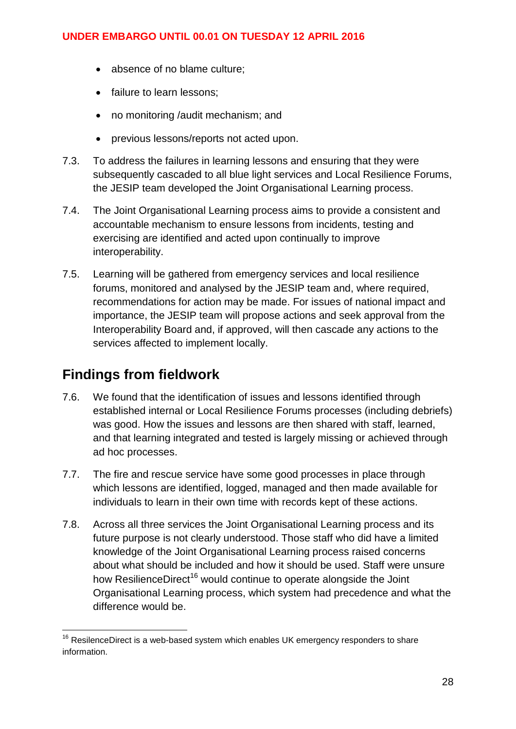- absence of no blame culture;
- failure to learn lessons;
- no monitoring /audit mechanism; and
- previous lessons/reports not acted upon.
- 7.3. To address the failures in learning lessons and ensuring that they were subsequently cascaded to all blue light services and Local Resilience Forums, the JESIP team developed the Joint Organisational Learning process.
- 7.4. The Joint Organisational Learning process aims to provide a consistent and accountable mechanism to ensure lessons from incidents, testing and exercising are identified and acted upon continually to improve interoperability.
- 7.5. Learning will be gathered from emergency services and local resilience forums, monitored and analysed by the JESIP team and, where required, recommendations for action may be made. For issues of national impact and importance, the JESIP team will propose actions and seek approval from the Interoperability Board and, if approved, will then cascade any actions to the services affected to implement locally.

### <span id="page-27-0"></span>**Findings from fieldwork**

- 7.6. We found that the identification of issues and lessons identified through established internal or Local Resilience Forums processes (including debriefs) was good. How the issues and lessons are then shared with staff, learned, and that learning integrated and tested is largely missing or achieved through ad hoc processes.
- 7.7. The fire and rescue service have some good processes in place through which lessons are identified, logged, managed and then made available for individuals to learn in their own time with records kept of these actions.
- 7.8. Across all three services the Joint Organisational Learning process and its future purpose is not clearly understood. Those staff who did have a limited knowledge of the Joint Organisational Learning process raised concerns about what should be included and how it should be used. Staff were unsure how ResilienceDirect<sup>16</sup> would continue to operate alongside the Joint Organisational Learning process, which system had precedence and what the difference would be.

<sup>1</sup>  $16$  ResilenceDirect is a web-based system which enables UK emergency responders to share information.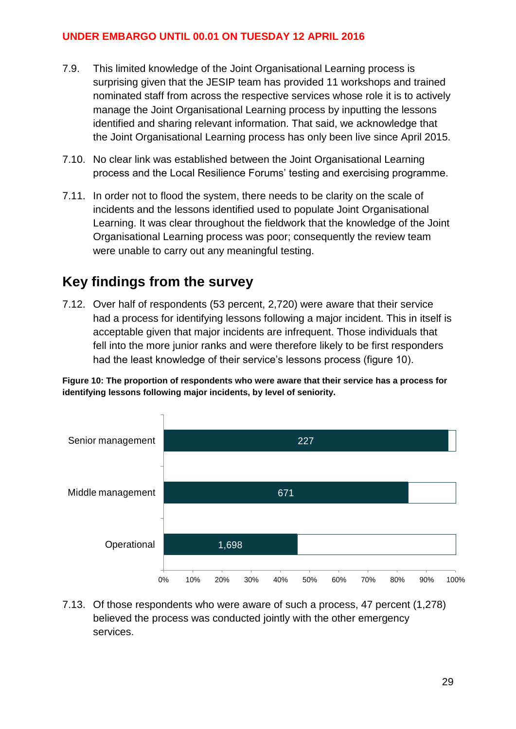- 7.9. This limited knowledge of the Joint Organisational Learning process is surprising given that the JESIP team has provided 11 workshops and trained nominated staff from across the respective services whose role it is to actively manage the Joint Organisational Learning process by inputting the lessons identified and sharing relevant information. That said, we acknowledge that the Joint Organisational Learning process has only been live since April 2015.
- 7.10. No clear link was established between the Joint Organisational Learning process and the Local Resilience Forums' testing and exercising programme.
- 7.11. In order not to flood the system, there needs to be clarity on the scale of incidents and the lessons identified used to populate Joint Organisational Learning. It was clear throughout the fieldwork that the knowledge of the Joint Organisational Learning process was poor; consequently the review team were unable to carry out any meaningful testing.

### <span id="page-28-0"></span>**Key findings from the survey**

7.12. Over half of respondents (53 percent, 2,720) were aware that their service had a process for identifying lessons following a major incident. This in itself is acceptable given that major incidents are infrequent. Those individuals that fell into the more junior ranks and were therefore likely to be first responders had the least knowledge of their service's lessons process (figure 10).

**Figure 10: The proportion of respondents who were aware that their service has a process for identifying lessons following major incidents, by level of seniority.**



7.13. Of those respondents who were aware of such a process, 47 percent (1,278) believed the process was conducted jointly with the other emergency services.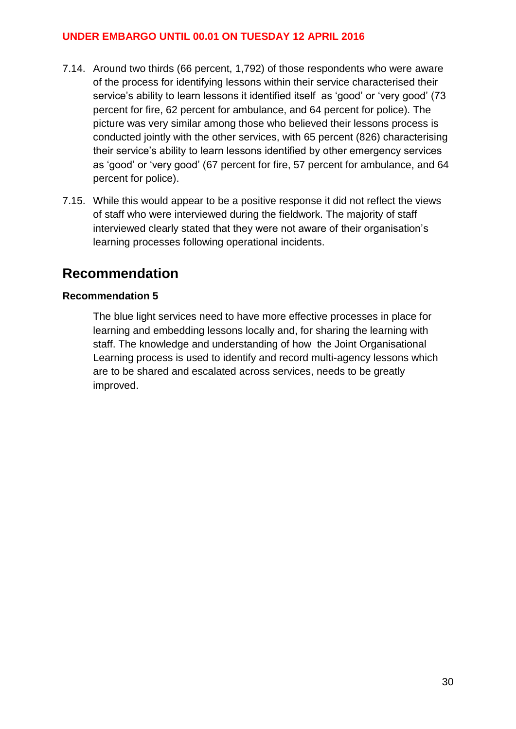- 7.14. Around two thirds (66 percent, 1,792) of those respondents who were aware of the process for identifying lessons within their service characterised their service's ability to learn lessons it identified itself as 'good' or 'very good' (73 percent for fire, 62 percent for ambulance, and 64 percent for police). The picture was very similar among those who believed their lessons process is conducted jointly with the other services, with 65 percent (826) characterising their service's ability to learn lessons identified by other emergency services as 'good' or 'very good' (67 percent for fire, 57 percent for ambulance, and 64 percent for police).
- 7.15. While this would appear to be a positive response it did not reflect the views of staff who were interviewed during the fieldwork. The majority of staff interviewed clearly stated that they were not aware of their organisation's learning processes following operational incidents.

### <span id="page-29-0"></span>**Recommendation**

#### **Recommendation 5**

The blue light services need to have more effective processes in place for learning and embedding lessons locally and, for sharing the learning with staff. The knowledge and understanding of how the Joint Organisational Learning process is used to identify and record multi-agency lessons which are to be shared and escalated across services, needs to be greatly improved.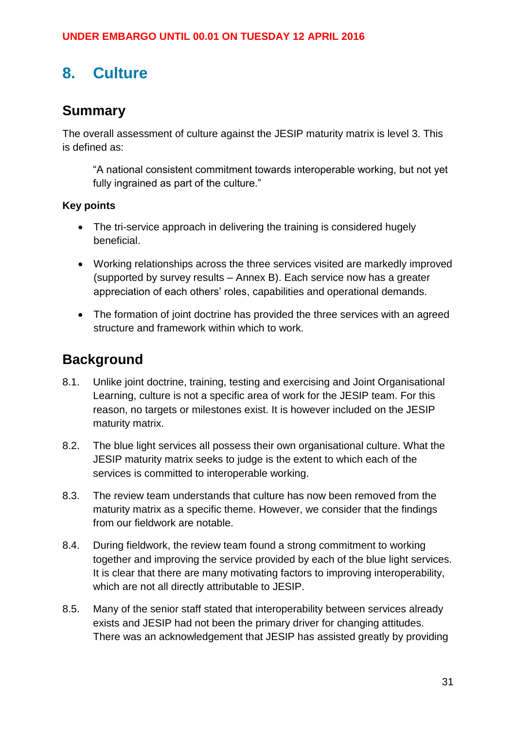# <span id="page-30-0"></span>**8. Culture**

### <span id="page-30-1"></span>**Summary**

The overall assessment of culture against the JESIP maturity matrix is level 3. This is defined as:

"A national consistent commitment towards interoperable working, but not yet fully ingrained as part of the culture."

### **Key points**

- The tri-service approach in delivering the training is considered hugely beneficial.
- Working relationships across the three services visited are markedly improved (supported by survey results – Annex B). Each service now has a greater appreciation of each others' roles, capabilities and operational demands.
- The formation of joint doctrine has provided the three services with an agreed structure and framework within which to work.

### <span id="page-30-2"></span>**Background**

- 8.1. Unlike joint doctrine, training, testing and exercising and Joint Organisational Learning, culture is not a specific area of work for the JESIP team. For this reason, no targets or milestones exist. It is however included on the JESIP maturity matrix.
- 8.2. The blue light services all possess their own organisational culture. What the JESIP maturity matrix seeks to judge is the extent to which each of the services is committed to interoperable working.
- 8.3. The review team understands that culture has now been removed from the maturity matrix as a specific theme. However, we consider that the findings from our fieldwork are notable.
- 8.4. During fieldwork, the review team found a strong commitment to working together and improving the service provided by each of the blue light services. It is clear that there are many motivating factors to improving interoperability, which are not all directly attributable to JESIP.
- 8.5. Many of the senior staff stated that interoperability between services already exists and JESIP had not been the primary driver for changing attitudes. There was an acknowledgement that JESIP has assisted greatly by providing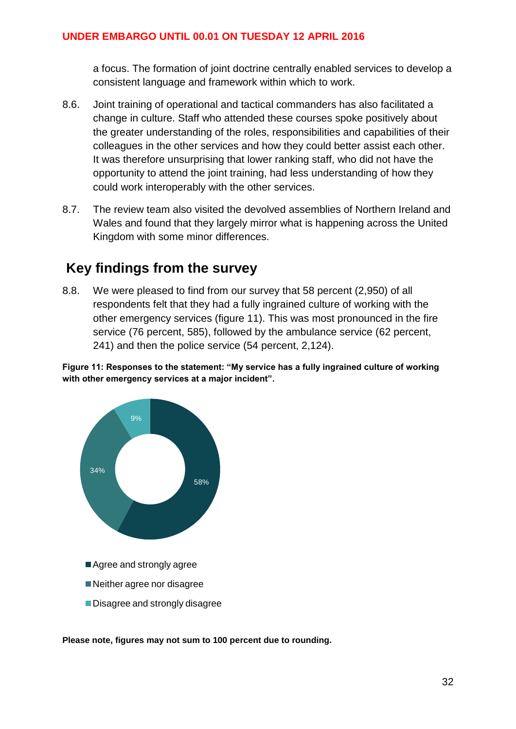a focus. The formation of joint doctrine centrally enabled services to develop a consistent language and framework within which to work.

- 8.6. Joint training of operational and tactical commanders has also facilitated a change in culture. Staff who attended these courses spoke positively about the greater understanding of the roles, responsibilities and capabilities of their colleagues in the other services and how they could better assist each other. It was therefore unsurprising that lower ranking staff, who did not have the opportunity to attend the joint training, had less understanding of how they could work interoperably with the other services.
- 8.7. The review team also visited the devolved assemblies of Northern Ireland and Wales and found that they largely mirror what is happening across the United Kingdom with some minor differences.

### <span id="page-31-0"></span>**Key findings from the survey**

8.8. We were pleased to find from our survey that 58 percent (2,950) of all respondents felt that they had a fully ingrained culture of working with the other emergency services (figure 11). This was most pronounced in the fire service (76 percent, 585), followed by the ambulance service (62 percent, 241) and then the police service (54 percent, 2,124).

**Figure 11: Responses to the statement: "My service has a fully ingrained culture of working with other emergency services at a major incident".** 



**Please note, figures may not sum to 100 percent due to rounding.**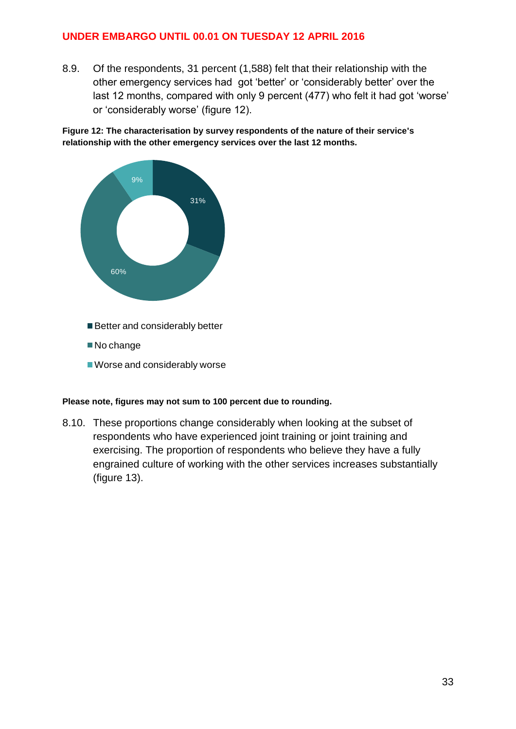8.9. Of the respondents, 31 percent (1,588) felt that their relationship with the other emergency services had got 'better' or 'considerably better' over the last 12 months, compared with only 9 percent (477) who felt it had got 'worse' or 'considerably worse' (figure 12).

Figure 12: The characterisation by survey respondents of the nature of their service's **relationship with the other emergency services over the last 12 months.**



#### **Please note, figures may not sum to 100 percent due to rounding.**

8.10. These proportions change considerably when looking at the subset of respondents who have experienced joint training or joint training and exercising. The proportion of respondents who believe they have a fully engrained culture of working with the other services increases substantially (figure 13).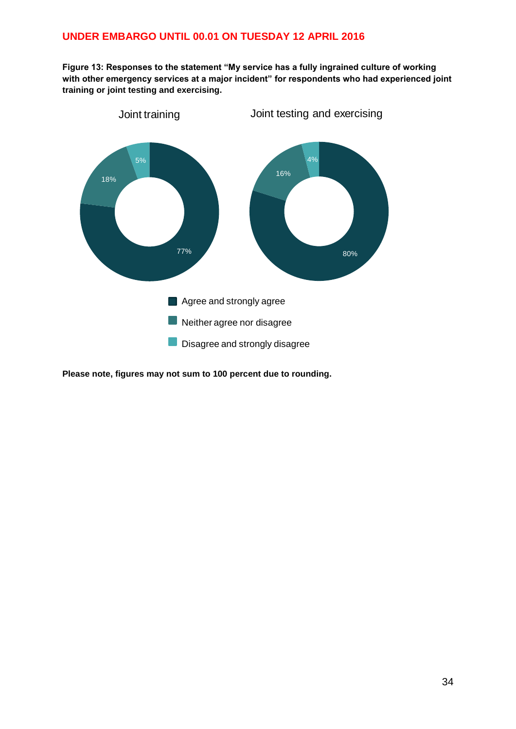**Figure 13: Responses to the statement "My service has a fully ingrained culture of working with other emergency services at a major incident" for respondents who had experienced joint training or joint testing and exercising.**



**Please note, figures may not sum to 100 percent due to rounding.**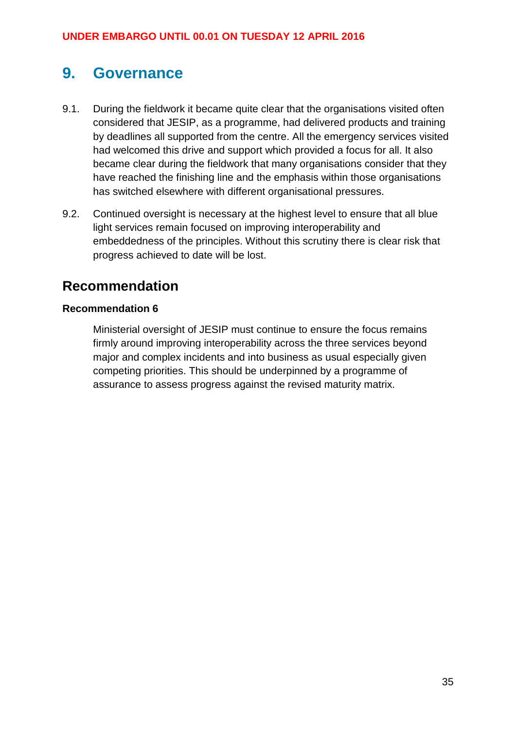### <span id="page-34-0"></span>**9. Governance**

- 9.1. During the fieldwork it became quite clear that the organisations visited often considered that JESIP, as a programme, had delivered products and training by deadlines all supported from the centre. All the emergency services visited had welcomed this drive and support which provided a focus for all. It also became clear during the fieldwork that many organisations consider that they have reached the finishing line and the emphasis within those organisations has switched elsewhere with different organisational pressures.
- 9.2. Continued oversight is necessary at the highest level to ensure that all blue light services remain focused on improving interoperability and embeddedness of the principles. Without this scrutiny there is clear risk that progress achieved to date will be lost.

### <span id="page-34-1"></span>**Recommendation**

#### **Recommendation 6**

Ministerial oversight of JESIP must continue to ensure the focus remains firmly around improving interoperability across the three services beyond major and complex incidents and into business as usual especially given competing priorities. This should be underpinned by a programme of assurance to assess progress against the revised maturity matrix.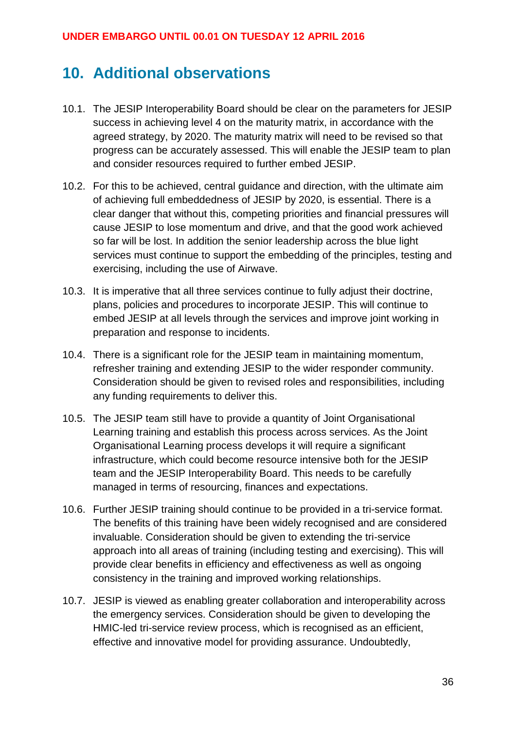# <span id="page-35-0"></span>**10. Additional observations**

- 10.1. The JESIP Interoperability Board should be clear on the parameters for JESIP success in achieving level 4 on the maturity matrix, in accordance with the agreed strategy, by 2020. The maturity matrix will need to be revised so that progress can be accurately assessed. This will enable the JESIP team to plan and consider resources required to further embed JESIP.
- 10.2. For this to be achieved, central guidance and direction, with the ultimate aim of achieving full embeddedness of JESIP by 2020, is essential. There is a clear danger that without this, competing priorities and financial pressures will cause JESIP to lose momentum and drive, and that the good work achieved so far will be lost. In addition the senior leadership across the blue light services must continue to support the embedding of the principles, testing and exercising, including the use of Airwave.
- 10.3. It is imperative that all three services continue to fully adjust their doctrine, plans, policies and procedures to incorporate JESIP. This will continue to embed JESIP at all levels through the services and improve joint working in preparation and response to incidents.
- 10.4. There is a significant role for the JESIP team in maintaining momentum, refresher training and extending JESIP to the wider responder community. Consideration should be given to revised roles and responsibilities, including any funding requirements to deliver this.
- 10.5. The JESIP team still have to provide a quantity of Joint Organisational Learning training and establish this process across services. As the Joint Organisational Learning process develops it will require a significant infrastructure, which could become resource intensive both for the JESIP team and the JESIP Interoperability Board. This needs to be carefully managed in terms of resourcing, finances and expectations.
- 10.6. Further JESIP training should continue to be provided in a tri-service format. The benefits of this training have been widely recognised and are considered invaluable. Consideration should be given to extending the tri-service approach into all areas of training (including testing and exercising). This will provide clear benefits in efficiency and effectiveness as well as ongoing consistency in the training and improved working relationships.
- 10.7. JESIP is viewed as enabling greater collaboration and interoperability across the emergency services. Consideration should be given to developing the HMIC-led tri-service review process, which is recognised as an efficient, effective and innovative model for providing assurance. Undoubtedly,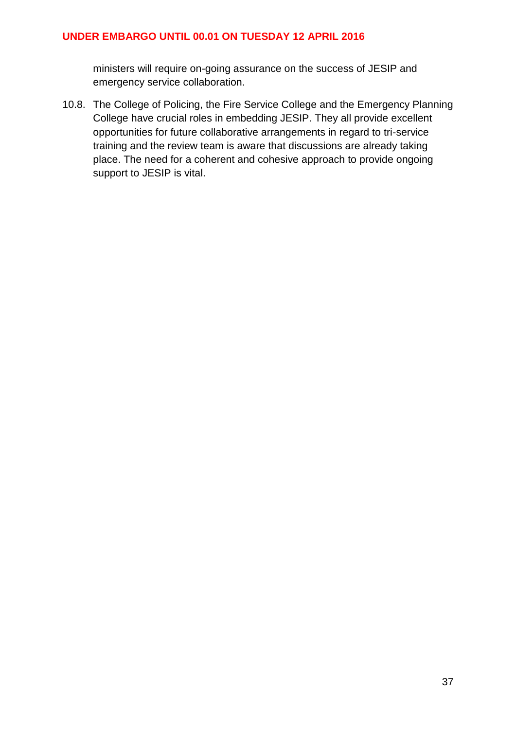ministers will require on-going assurance on the success of JESIP and emergency service collaboration.

10.8. The College of Policing, the Fire Service College and the Emergency Planning College have crucial roles in embedding JESIP. They all provide excellent opportunities for future collaborative arrangements in regard to tri-service training and the review team is aware that discussions are already taking place. The need for a coherent and cohesive approach to provide ongoing support to JESIP is vital.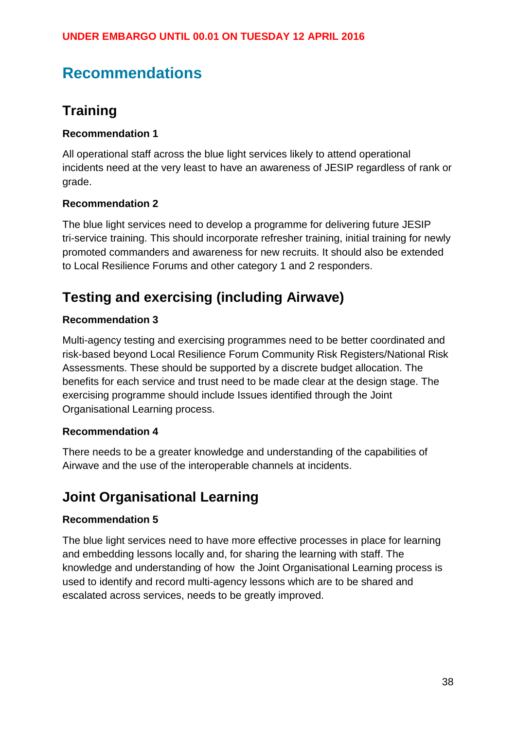# <span id="page-37-0"></span>**Recommendations**

### <span id="page-37-1"></span>**Training**

### **Recommendation 1**

All operational staff across the blue light services likely to attend operational incidents need at the very least to have an awareness of JESIP regardless of rank or grade.

### **Recommendation 2**

The blue light services need to develop a programme for delivering future JESIP tri-service training. This should incorporate refresher training, initial training for newly promoted commanders and awareness for new recruits. It should also be extended to Local Resilience Forums and other category 1 and 2 responders.

### <span id="page-37-2"></span>**Testing and exercising (including Airwave)**

### **Recommendation 3**

Multi-agency testing and exercising programmes need to be better coordinated and risk-based beyond Local Resilience Forum Community Risk Registers/National Risk Assessments. These should be supported by a discrete budget allocation. The benefits for each service and trust need to be made clear at the design stage. The exercising programme should include Issues identified through the Joint Organisational Learning process.

#### **Recommendation 4**

There needs to be a greater knowledge and understanding of the capabilities of Airwave and the use of the interoperable channels at incidents.

### <span id="page-37-3"></span>**Joint Organisational Learning**

#### **Recommendation 5**

The blue light services need to have more effective processes in place for learning and embedding lessons locally and, for sharing the learning with staff. The knowledge and understanding of how the Joint Organisational Learning process is used to identify and record multi-agency lessons which are to be shared and escalated across services, needs to be greatly improved.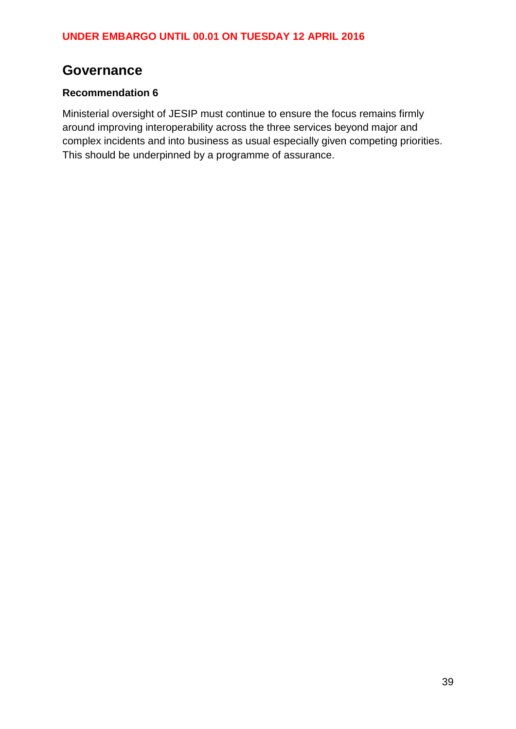### <span id="page-38-0"></span>**Governance**

### **Recommendation 6**

Ministerial oversight of JESIP must continue to ensure the focus remains firmly around improving interoperability across the three services beyond major and complex incidents and into business as usual especially given competing priorities. This should be underpinned by a programme of assurance.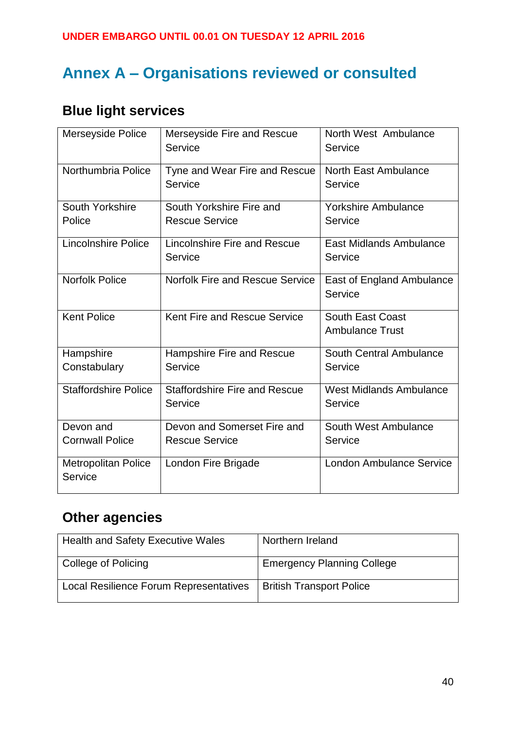# <span id="page-39-0"></span>**Annex A – Organisations reviewed or consulted**

# **Blue light services**

| Merseyside Police                     | Merseyside Fire and Rescue<br>Service           | North West Ambulance<br>Service                   |
|---------------------------------------|-------------------------------------------------|---------------------------------------------------|
| Northumbria Police                    | Tyne and Wear Fire and Rescue<br>Service        | North East Ambulance<br>Service                   |
| South Yorkshire                       | South Yorkshire Fire and                        | <b>Yorkshire Ambulance</b>                        |
| Police                                | <b>Rescue Service</b>                           | Service                                           |
| <b>Lincolnshire Police</b>            | Lincolnshire Fire and Rescue<br>Service         | East Midlands Ambulance<br>Service                |
| <b>Norfolk Police</b>                 | <b>Norfolk Fire and Rescue Service</b>          | East of England Ambulance<br>Service              |
| <b>Kent Police</b>                    | Kent Fire and Rescue Service                    | <b>South East Coast</b><br><b>Ambulance Trust</b> |
| Hampshire                             | Hampshire Fire and Rescue                       | South Central Ambulance                           |
| Constabulary                          | Service                                         | Service                                           |
| <b>Staffordshire Police</b>           | <b>Staffordshire Fire and Rescue</b><br>Service | <b>West Midlands Ambulance</b><br>Service         |
| Devon and                             | Devon and Somerset Fire and                     | South West Ambulance                              |
| <b>Cornwall Police</b>                | <b>Rescue Service</b>                           | Service                                           |
| <b>Metropolitan Police</b><br>Service | London Fire Brigade                             | <b>London Ambulance Service</b>                   |

### **Other agencies**

| <b>Health and Safety Executive Wales</b> | Northern Ireland                  |
|------------------------------------------|-----------------------------------|
| College of Policing                      | <b>Emergency Planning College</b> |
| Local Resilience Forum Representatives   | <b>British Transport Police</b>   |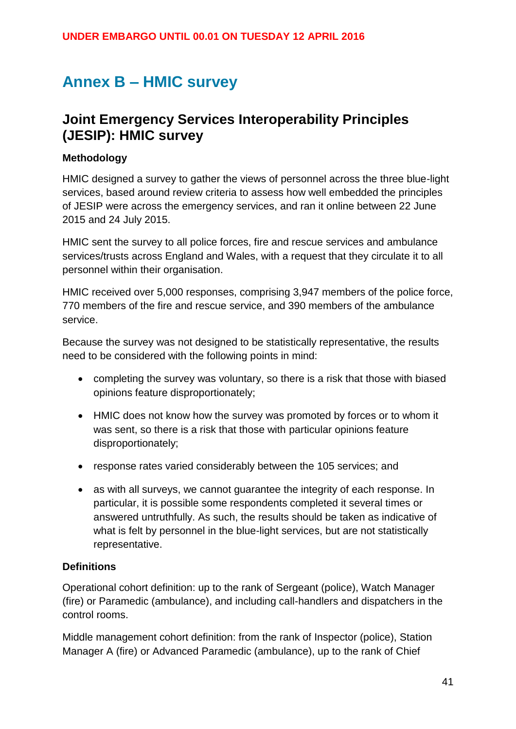# <span id="page-40-0"></span>**Annex B – HMIC survey**

### **Joint Emergency Services Interoperability Principles (JESIP): HMIC survey**

#### **Methodology**

HMIC designed a survey to gather the views of personnel across the three blue-light services, based around review criteria to assess how well embedded the principles of JESIP were across the emergency services, and ran it online between 22 June 2015 and 24 July 2015.

HMIC sent the survey to all police forces, fire and rescue services and ambulance services/trusts across England and Wales, with a request that they circulate it to all personnel within their organisation.

HMIC received over 5,000 responses, comprising 3,947 members of the police force, 770 members of the fire and rescue service, and 390 members of the ambulance service.

Because the survey was not designed to be statistically representative, the results need to be considered with the following points in mind:

- completing the survey was voluntary, so there is a risk that those with biased opinions feature disproportionately;
- HMIC does not know how the survey was promoted by forces or to whom it was sent, so there is a risk that those with particular opinions feature disproportionately;
- response rates varied considerably between the 105 services; and
- as with all surveys, we cannot quarantee the integrity of each response. In particular, it is possible some respondents completed it several times or answered untruthfully. As such, the results should be taken as indicative of what is felt by personnel in the blue-light services, but are not statistically representative.

#### **Definitions**

Operational cohort definition: up to the rank of Sergeant (police), Watch Manager (fire) or Paramedic (ambulance), and including call-handlers and dispatchers in the control rooms.

Middle management cohort definition: from the rank of Inspector (police), Station Manager A (fire) or Advanced Paramedic (ambulance), up to the rank of Chief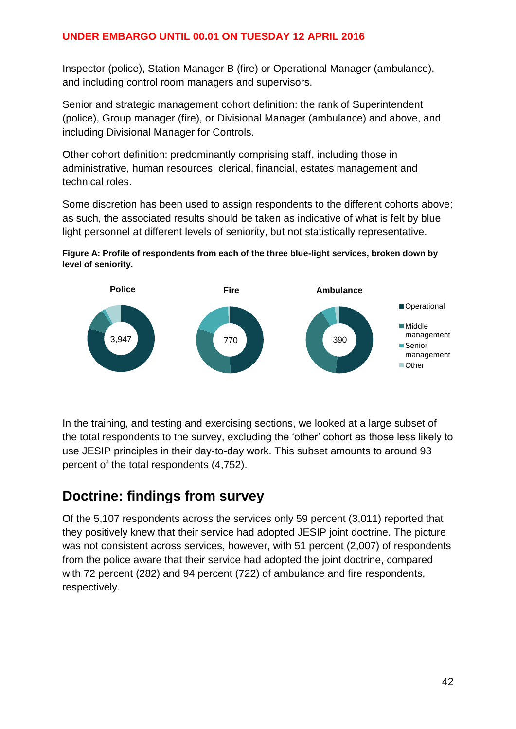Inspector (police), Station Manager B (fire) or Operational Manager (ambulance), and including control room managers and supervisors.

Senior and strategic management cohort definition: the rank of Superintendent (police), Group manager (fire), or Divisional Manager (ambulance) and above, and including Divisional Manager for Controls.

Other cohort definition: predominantly comprising staff, including those in administrative, human resources, clerical, financial, estates management and technical roles.

Some discretion has been used to assign respondents to the different cohorts above; as such, the associated results should be taken as indicative of what is felt by blue light personnel at different levels of seniority, but not statistically representative.





In the training, and testing and exercising sections, we looked at a large subset of the total respondents to the survey, excluding the 'other' cohort as those less likely to use JESIP principles in their day-to-day work. This subset amounts to around 93 percent of the total respondents (4,752).

### <span id="page-41-0"></span>**Doctrine: findings from survey**

Of the 5,107 respondents across the services only 59 percent (3,011) reported that they positively knew that their service had adopted JESIP joint doctrine. The picture was not consistent across services, however, with 51 percent (2,007) of respondents from the police aware that their service had adopted the joint doctrine, compared with 72 percent (282) and 94 percent (722) of ambulance and fire respondents, respectively.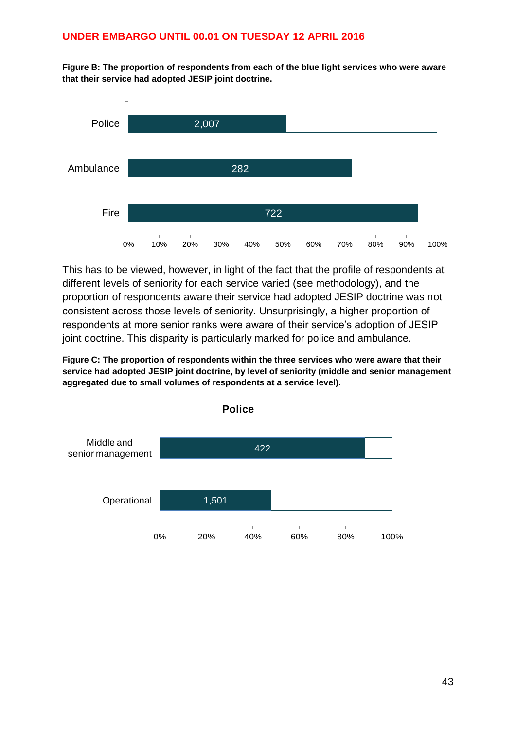**Figure B: The proportion of respondents from each of the blue light services who were aware that their service had adopted JESIP joint doctrine.**



This has to be viewed, however, in light of the fact that the profile of respondents at different levels of seniority for each service varied (see methodology), and the proportion of respondents aware their service had adopted JESIP doctrine was not consistent across those levels of seniority. Unsurprisingly, a higher proportion of respondents at more senior ranks were aware of their service's adoption of JESIP joint doctrine. This disparity is particularly marked for police and ambulance.

**Figure C: The proportion of respondents within the three services who were aware that their service had adopted JESIP joint doctrine, by level of seniority (middle and senior management aggregated due to small volumes of respondents at a service level).**

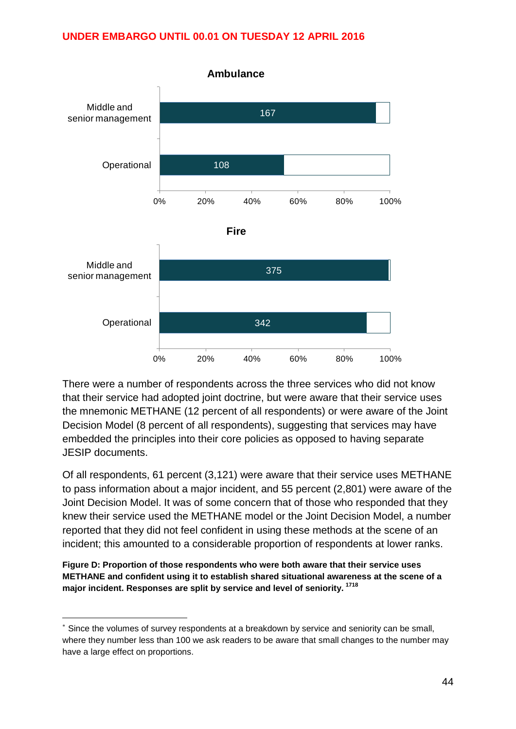

There were a number of respondents across the three services who did not know that their service had adopted joint doctrine, but were aware that their service uses the mnemonic METHANE (12 percent of all respondents) or were aware of the Joint Decision Model (8 percent of all respondents), suggesting that services may have embedded the principles into their core policies as opposed to having separate JESIP documents.

Of all respondents, 61 percent (3,121) were aware that their service uses METHANE to pass information about a major incident, and 55 percent (2,801) were aware of the Joint Decision Model. It was of some concern that of those who responded that they knew their service used the METHANE model or the Joint Decision Model, a number reported that they did not feel confident in using these methods at the scene of an incident; this amounted to a considerable proportion of respondents at lower ranks.

**Figure D: Proportion of those respondents who were both aware that their service uses METHANE and confident using it to establish shared situational awareness at the scene of a major incident. Responses are split by service and level of seniority. <sup>1718</sup>**

1

Since the volumes of survey respondents at a breakdown by service and seniority can be small, where they number less than 100 we ask readers to be aware that small changes to the number may have a large effect on proportions.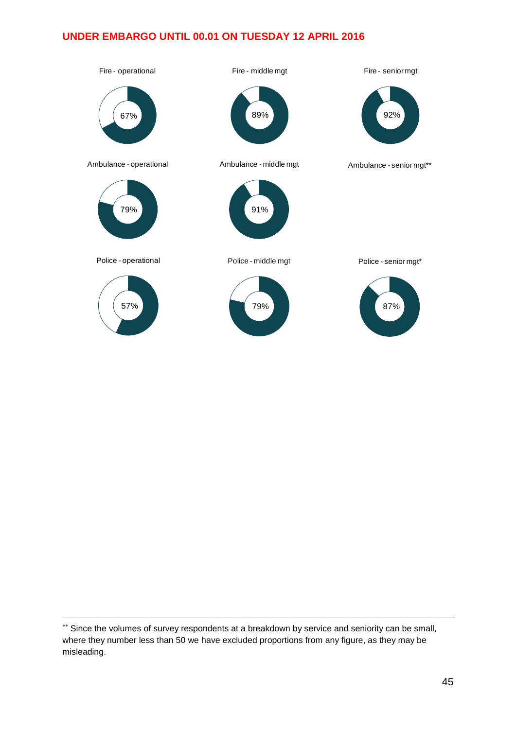

1

<sup>\*\*</sup> Since the volumes of survey respondents at a breakdown by service and seniority can be small, where they number less than 50 we have excluded proportions from any figure, as they may be misleading.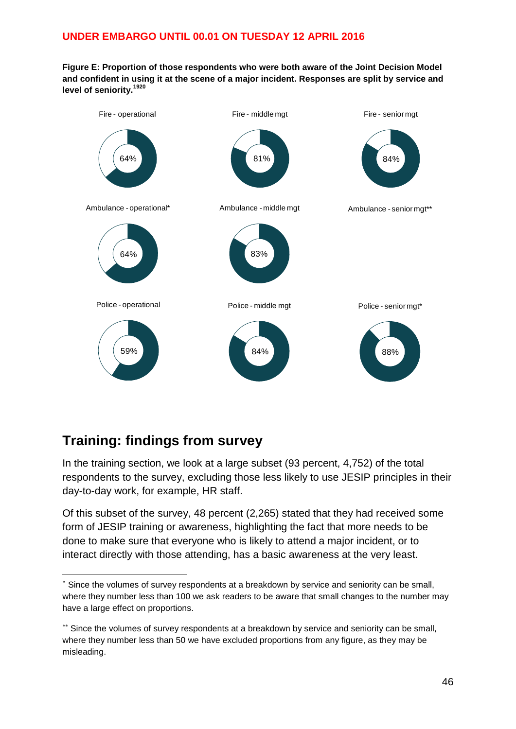**Figure E: Proportion of those respondents who were both aware of the Joint Decision Model and confident in using it at the scene of a major incident. Responses are split by service and level of seniority.<sup>1920</sup>**

![](_page_45_Figure_2.jpeg)

### **Training: findings from survey**

1

In the training section, we look at a large subset (93 percent, 4,752) of the total respondents to the survey, excluding those less likely to use JESIP principles in their day-to-day work, for example, HR staff.

Of this subset of the survey, 48 percent (2,265) stated that they had received some form of JESIP training or awareness, highlighting the fact that more needs to be done to make sure that everyone who is likely to attend a major incident, or to interact directly with those attending, has a basic awareness at the very least.

Since the volumes of survey respondents at a breakdown by service and seniority can be small, where they number less than 100 we ask readers to be aware that small changes to the number may have a large effect on proportions.

<sup>\*\*</sup> Since the volumes of survey respondents at a breakdown by service and seniority can be small, where they number less than 50 we have excluded proportions from any figure, as they may be misleading.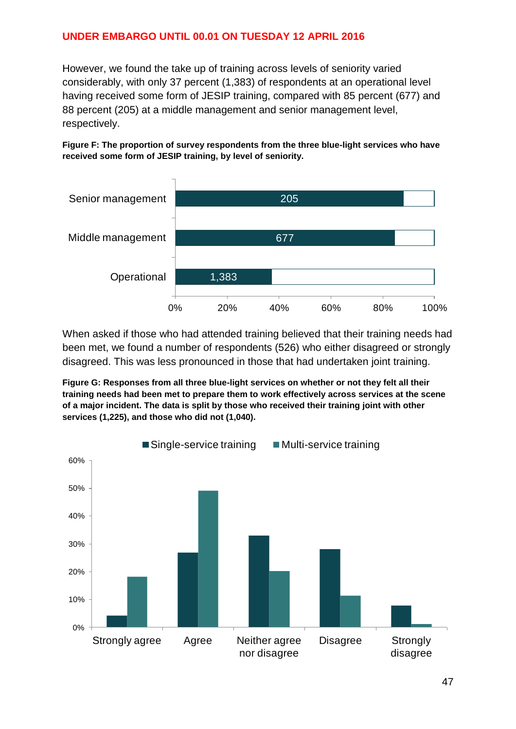However, we found the take up of training across levels of seniority varied considerably, with only 37 percent (1,383) of respondents at an operational level having received some form of JESIP training, compared with 85 percent (677) and 88 percent (205) at a middle management and senior management level, respectively.

**Figure F: The proportion of survey respondents from the three blue-light services who have received some form of JESIP training, by level of seniority.**

![](_page_46_Figure_3.jpeg)

When asked if those who had attended training believed that their training needs had been met, we found a number of respondents (526) who either disagreed or strongly disagreed. This was less pronounced in those that had undertaken joint training.

**Figure G: Responses from all three blue-light services on whether or not they felt all their training needs had been met to prepare them to work effectively across services at the scene of a major incident. The data is split by those who received their training joint with other services (1,225), and those who did not (1,040).**

![](_page_46_Figure_6.jpeg)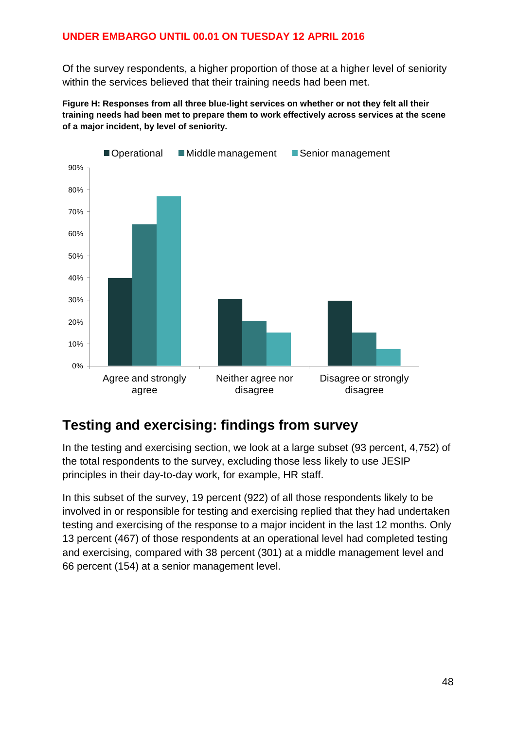Of the survey respondents, a higher proportion of those at a higher level of seniority within the services believed that their training needs had been met.

**Figure H: Responses from all three blue-light services on whether or not they felt all their training needs had been met to prepare them to work effectively across services at the scene of a major incident, by level of seniority.**

![](_page_47_Figure_3.jpeg)

### <span id="page-47-0"></span>**Testing and exercising: findings from survey**

In the testing and exercising section, we look at a large subset (93 percent, 4,752) of the total respondents to the survey, excluding those less likely to use JESIP principles in their day-to-day work, for example, HR staff.

In this subset of the survey, 19 percent (922) of all those respondents likely to be involved in or responsible for testing and exercising replied that they had undertaken testing and exercising of the response to a major incident in the last 12 months. Only 13 percent (467) of those respondents at an operational level had completed testing and exercising, compared with 38 percent (301) at a middle management level and 66 percent (154) at a senior management level.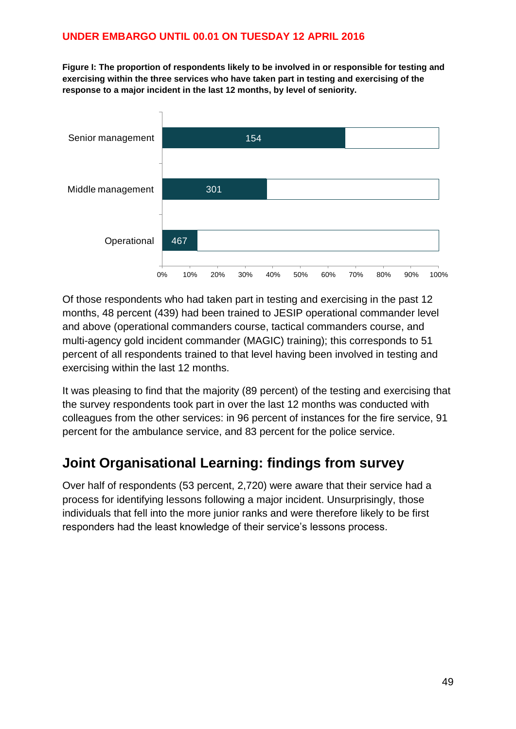**Figure I: The proportion of respondents likely to be involved in or responsible for testing and exercising within the three services who have taken part in testing and exercising of the response to a major incident in the last 12 months, by level of seniority.**

![](_page_48_Figure_2.jpeg)

Of those respondents who had taken part in testing and exercising in the past 12 months, 48 percent (439) had been trained to JESIP operational commander level and above (operational commanders course, tactical commanders course, and multi-agency gold incident commander (MAGIC) training); this corresponds to 51 percent of all respondents trained to that level having been involved in testing and exercising within the last 12 months.

It was pleasing to find that the majority (89 percent) of the testing and exercising that the survey respondents took part in over the last 12 months was conducted with colleagues from the other services: in 96 percent of instances for the fire service, 91 percent for the ambulance service, and 83 percent for the police service.

### <span id="page-48-0"></span>**Joint Organisational Learning: findings from survey**

Over half of respondents (53 percent, 2,720) were aware that their service had a process for identifying lessons following a major incident. Unsurprisingly, those individuals that fell into the more junior ranks and were therefore likely to be first responders had the least knowledge of their service's lessons process.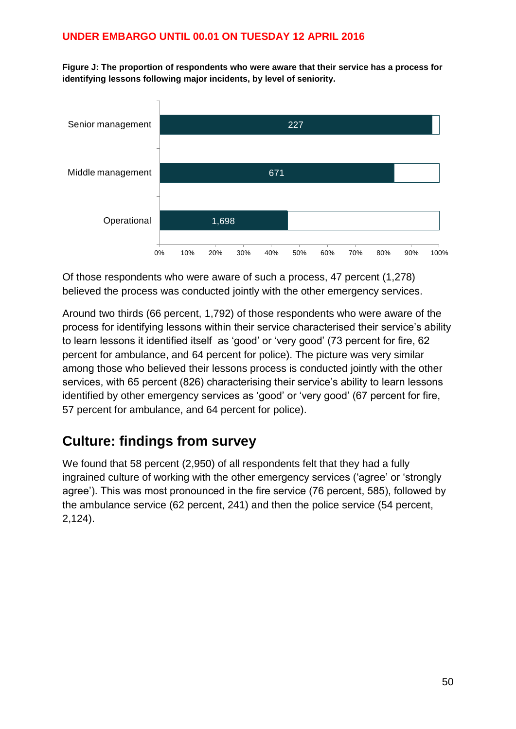**Figure J: The proportion of respondents who were aware that their service has a process for identifying lessons following major incidents, by level of seniority.**

![](_page_49_Figure_2.jpeg)

Of those respondents who were aware of such a process, 47 percent (1,278) believed the process was conducted jointly with the other emergency services.

Around two thirds (66 percent, 1,792) of those respondents who were aware of the process for identifying lessons within their service characterised their service's ability to learn lessons it identified itself as 'good' or 'very good' (73 percent for fire, 62 percent for ambulance, and 64 percent for police). The picture was very similar among those who believed their lessons process is conducted jointly with the other services, with 65 percent (826) characterising their service's ability to learn lessons identified by other emergency services as 'good' or 'very good' (67 percent for fire, 57 percent for ambulance, and 64 percent for police).

### <span id="page-49-0"></span>**Culture: findings from survey**

We found that 58 percent (2,950) of all respondents felt that they had a fully ingrained culture of working with the other emergency services ('agree' or 'strongly agree'). This was most pronounced in the fire service (76 percent, 585), followed by the ambulance service (62 percent, 241) and then the police service (54 percent, 2,124).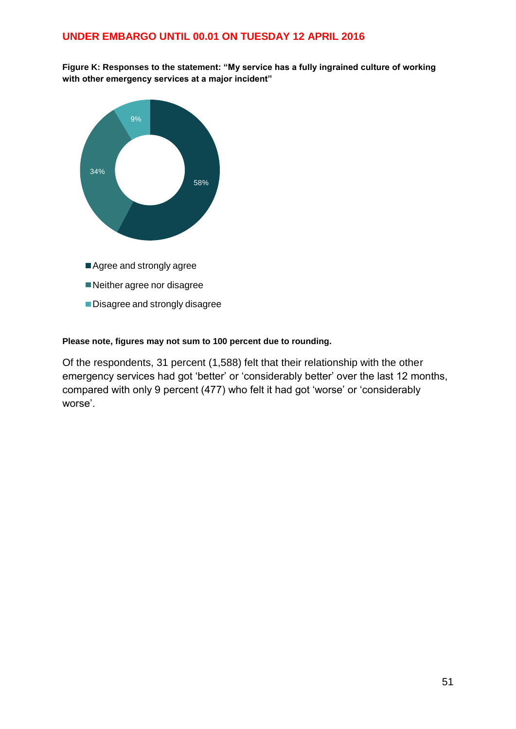**Figure K: Responses to the statement: "My service has a fully ingrained culture of working with other emergency services at a major incident"**

![](_page_50_Figure_2.jpeg)

#### **Please note, figures may not sum to 100 percent due to rounding.**

Of the respondents, 31 percent (1,588) felt that their relationship with the other emergency services had got 'better' or 'considerably better' over the last 12 months, compared with only 9 percent (477) who felt it had got 'worse' or 'considerably worse'.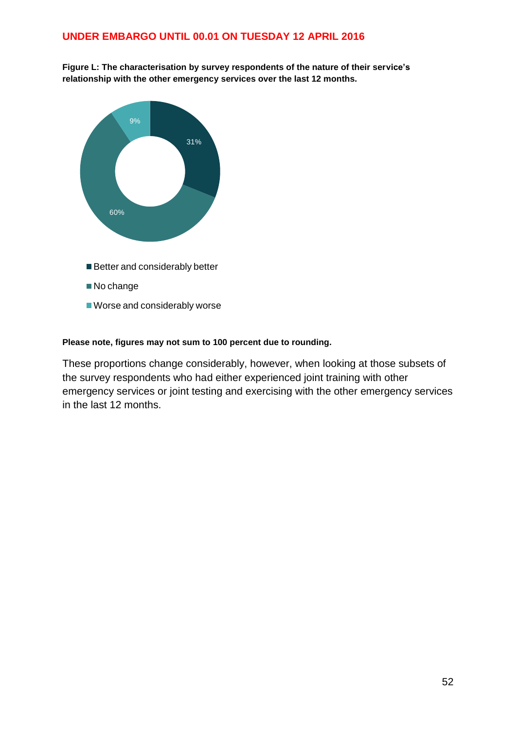Figure L: The characterisation by survey respondents of the nature of their service's **relationship with the other emergency services over the last 12 months.**

![](_page_51_Figure_2.jpeg)

#### **Please note, figures may not sum to 100 percent due to rounding.**

These proportions change considerably, however, when looking at those subsets of the survey respondents who had either experienced joint training with other emergency services or joint testing and exercising with the other emergency services in the last 12 months.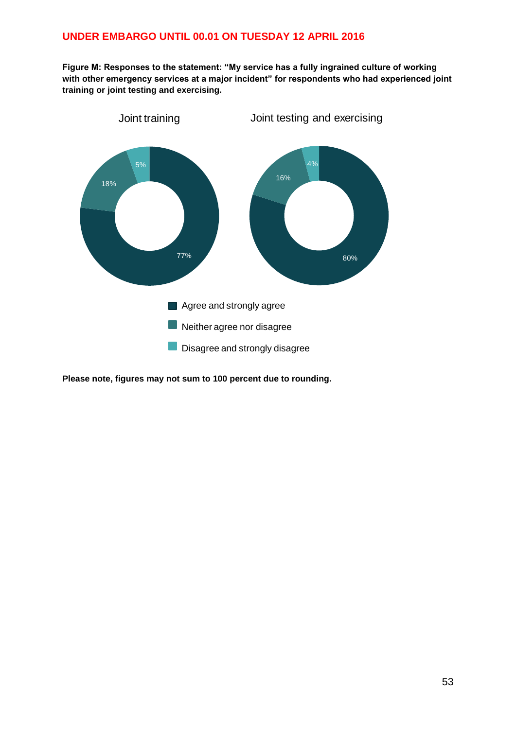**Figure M: Responses to the statement: "My service has a fully ingrained culture of working with other emergency services at a major incident" for respondents who had experienced joint training or joint testing and exercising.**

![](_page_52_Figure_2.jpeg)

**Please note, figures may not sum to 100 percent due to rounding.**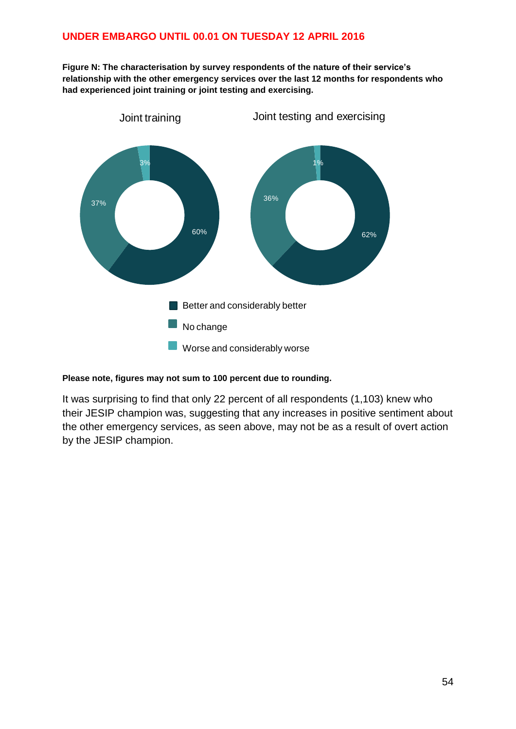Figure N: The characterisation by survey respondents of the nature of their service's **relationship with the other emergency services over the last 12 months for respondents who had experienced joint training or joint testing and exercising.**

![](_page_53_Figure_2.jpeg)

#### **Please note, figures may not sum to 100 percent due to rounding.**

It was surprising to find that only 22 percent of all respondents (1,103) knew who their JESIP champion was, suggesting that any increases in positive sentiment about the other emergency services, as seen above, may not be as a result of overt action by the JESIP champion.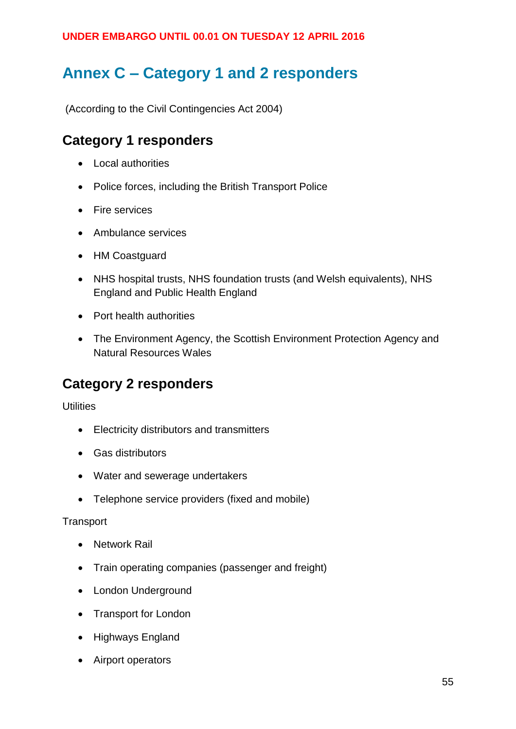# <span id="page-54-0"></span>**Annex C – Category 1 and 2 responders**

(According to the Civil Contingencies Act 2004)

### **Category 1 responders**

- Local authorities
- Police forces, including the British Transport Police
- Fire services
- Ambulance services
- HM Coastguard
- NHS hospital trusts, NHS foundation trusts (and Welsh equivalents), NHS England and Public Health England
- Port health authorities
- The Environment Agency, the Scottish Environment Protection Agency and Natural Resources Wales

### **Category 2 responders**

**Utilities** 

- Electricity distributors and transmitters
- Gas distributors
- Water and sewerage undertakers
- Telephone service providers (fixed and mobile)

#### **Transport**

- Network Rail
- Train operating companies (passenger and freight)
- London Underground
- Transport for London
- Highways England
- Airport operators